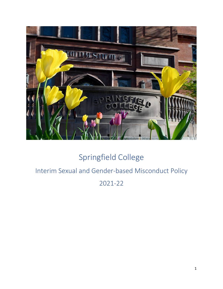

# Springfield College

# Interim Sexual and Gender-based Misconduct Policy

2021-22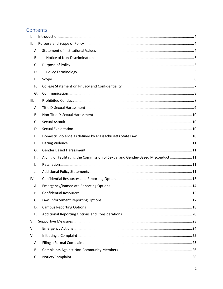## Contents

| I.   |                                                                                |  |
|------|--------------------------------------------------------------------------------|--|
| ΙΙ.  |                                                                                |  |
| А.   |                                                                                |  |
| В.   |                                                                                |  |
| C.   |                                                                                |  |
| D.   |                                                                                |  |
| Е.   |                                                                                |  |
| F.   |                                                                                |  |
| G.   |                                                                                |  |
| III. |                                                                                |  |
| А.   |                                                                                |  |
| В.   |                                                                                |  |
| C.   |                                                                                |  |
| D.   |                                                                                |  |
| Е.   |                                                                                |  |
| F.   |                                                                                |  |
| G.   |                                                                                |  |
| Η.   | Aiding or Facilitating the Commission of Sexual and Gender-Based Misconduct 11 |  |
| Ι.   |                                                                                |  |
| J.   |                                                                                |  |
| IV.  |                                                                                |  |
| Α.   |                                                                                |  |
| В.   |                                                                                |  |
| C.   |                                                                                |  |
| D.   |                                                                                |  |
| Е.   |                                                                                |  |
| V.   |                                                                                |  |
| VI.  |                                                                                |  |
| VII. |                                                                                |  |
| А.   |                                                                                |  |
| В.   |                                                                                |  |
| C.   |                                                                                |  |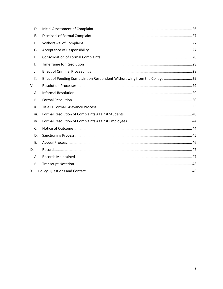| D.             |                                                                           |
|----------------|---------------------------------------------------------------------------|
| E.             |                                                                           |
| F.             |                                                                           |
| G.             |                                                                           |
| Η.             |                                                                           |
| $\mathbf{I}$ . |                                                                           |
| J.             |                                                                           |
| K.             | Effect of Pending Complaint on Respondent Withdrawing from the College 29 |
| VIII.          |                                                                           |
| Α.             |                                                                           |
| <b>B.</b>      |                                                                           |
| ii.            |                                                                           |
| iii.           |                                                                           |
| iv.            |                                                                           |
| C.             |                                                                           |
| D.             |                                                                           |
| E.             |                                                                           |
| IX.            |                                                                           |
| Α.             |                                                                           |
| В.             |                                                                           |
| Χ.             |                                                                           |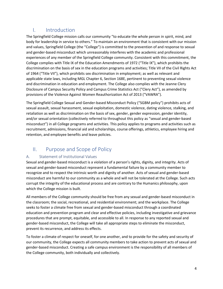## <span id="page-3-0"></span>I. Introduction

The Springfield College mission calls our community "to educate the whole person in spirit, mind, and body for leadership in service to others." To maintain an environment that is consistent with our mission and values, Springfield College (the "College") is committed to the prevention of and response to sexual and gender-based misconduct which unreasonably interferes with the academic and professional experiences of any member of the Springfield College community. Consistent with this commitment, the College complies with Title IX of the Education Amendments of 1972 ("Title IX"), which prohibits the discrimination on the basis of sex in the education programs and activities; Title VII of the Civil Rights Act of 1964 ("Title VII"), which prohibits sex discrimination in employment; as well as relevant and applicable state laws, including MGL Chapter 6, Section 168E, pertinent to preventing sexual violence and discrimination in education and employment. The College also complies with the Jeanne Clery Disclosure of Campus Security Policy and Campus Crime Statistics Act ("Clery Act"), as amended by provisions of the Violence Against Women Reauthorization Act of 2013 ("VAWRA").

The Springfield College Sexual and Gender-based Misconduct Policy ("SGBM policy") prohibits acts of sexual assault, sexual harassment, sexual exploitation, domestic violence, dating violence, stalking, and retaliation as well as discrimination on the basis of sex, gender, gender expression, gender identity, and/or sexual orientation (collectively referred to throughout this policy as "sexual and gender-based misconduct") in all College programs and activities. This policy applies to programs and activities such as recruitment, admissions, financial aid and scholarships, course offerings, athletics, employee hiring and retention, and employee benefits and leave policies.

# <span id="page-3-1"></span>II. Purpose and Scope of Policy

### <span id="page-3-2"></span>A. Statement of Institutional Values

Sexual and gender-based misconduct is a violation of a person's rights, dignity, and integrity. Acts of sexual and gender-based misconduct represent a fundamental failure by a community member to recognize and to respect the intrinsic worth and dignity of another. Acts of sexual and gender-based misconduct are harmful to our community as a whole and will not be tolerated at the College. Such acts corrupt the integrity of the educational process and are contrary to the Humanics philosophy, upon which the College mission is built.

All members of the College community should be free from any sexual and gender-based misconduct in the classroom; the social, recreational, and residential environment; and the workplace. The College seeks to foster a climate free from sexual and gender-based misconduct through a coordinated education and prevention program and clear and effective policies, including investigative and grievance procedures that are prompt, equitable, and accessible to all. In response to any reported sexual and gender-based misconduct, the College will take all appropriate steps to eliminate the misconduct, prevent its recurrence, and address its effects.

To foster a climate of respect for oneself, for one another, and to provide for the safety and security of our community, the College expects all community members to take action to prevent acts of sexual and gender-based misconduct. Creating a safe campus environment is the responsibility of all members of the College community, both individually and collectively.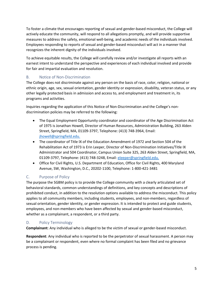To foster a climate that encourages reporting of sexual and gender-based misconduct, the College will actively educate the community, will respond to all allegations promptly, and will provide supportive measures to address the safety, emotional well-being, and academic needs of the individuals involved. Employees responding to reports of sexual and gender-based misconduct will act in a manner that recognizes the inherent dignity of the individuals involved.

To achieve equitable results, the College will carefully review and/or investigate all reports with an earnest intent to understand the perspective and experiences of each individual involved and provide for fair and impartial evaluation and resolution.

### <span id="page-4-0"></span>B. Notice of Non-Discrimination

The College does not discriminate against any person on the basis of race, color, religion, national or ethnic origin, age, sex, sexual orientation, gender identity or expression, disability, veteran status, or any other legally protected basis in admission and access to, and employment and treatment in, its programs and activities.

Inquiries regarding the application of this Notice of Non-Discrimination and the College's nondiscrimination policies may be referred to the following:

- The Equal Employment Opportunity coordinator and coordinator of the Age Discrimination Act of 1975 is Jonathan Howell, Director of Human Resources, Administration Building, 263 Alden Street, Springfield, MA, 01109-3797, Telephone: (413) 748-3964, Email: [jhowell@springfield.edu.](mailto:jhowell@springfield.edu)
- The coordinator of Title IX of the Education Amendment of 1972 and Section 504 of the Rehabilitation Act of 1973 is Erin Leeper, Director of Non-Discrimination Initiatives/Title IX Administrator and 504 Coordinator, Campus Union Suite 325, 263 Alden Street, Springfield, MA, 01109-3797, Telephone: (413) 748-3248, Email: [eleeper@springfield.edu.](mailto:eleeper@springfield.edu)
- Office for Civil Rights, U.S. Department of Education, Office for Civil Rights, 400 Maryland Avenue, SW, Washington, D.C., 20202-1100, Telephone: 1-800-421-3481

### <span id="page-4-1"></span>C. Purpose of Policy

The purpose the SGBM policy is to provide the College community with a clearly articulated set of behavioral standards, common understandings of definitions, and key concepts and descriptions of prohibited conduct, in addition to the resolution options available to address the misconduct. This policy applies to all community members, including students, employees, and non-members, regardless of sexual orientation, gender identity, or gender expression. It is intended to protect and guide students, employees, and non-members who have been affected by sexual and gender-based misconduct, whether as a complainant, a respondent, or a third party.

### <span id="page-4-2"></span>D. Policy Terminology

**Complainant**: Any individual who is alleged to be the victim of sexual or gender-based misconduct.

**Respondent**: Any individual who is reported to be the perpetrator of sexual harassment. A person may be a complainant or respondent, even where no formal complaint has been filed and no grievance process is pending.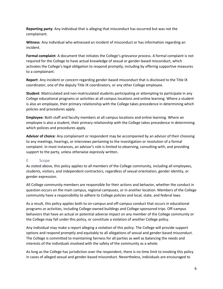**Reporting party**: Any individual that is alleging that misconduct has occurred but was not the complainant.

**Witness**: Any individual who witnessed an incident of misconduct or has information regarding an incident.

**Formal complaint**: A document that initiates the College's grievance process. A formal complaint is not required for the College to have actual knowledge of sexual or gender-based misconduct, which activates the College's legal obligation to respond promptly, including by offering supportive measures to a complainant.

**Report**: Any incident or concern regarding gender-based misconduct that is disclosed to the Title IX coordinator, one of the deputy Title IX coordinators, or any other College employee.

**Student**: Matriculated and non-matriculated students participating or attempting to participate in any College educational programs or activities at all campus locations and online learning. Where a student is also an employee, their primary relationship with the College takes precedence in determining which policies and procedures apply.

**Employee**: Both staff and faculty members at all campus locations and online learning. Where an employee is also a student, their primary relationship with the College takes precedence in determining which policies and procedures apply.

**Advisor of choice**: Any complainant or respondent may be accompanied by an advisor of their choosing to any meetings, hearings, or interviews pertaining to the investigation or resolution of a formal complaint. In most instances, an advisor's role is limited to observing, consulting with, and providing support to the party, unless otherwise expressly written.

### <span id="page-5-0"></span>E. Scope

As stated above, this policy applies to all members of the College community, including all employees, students, visitors, and independent contractors, regardless of sexual orientation, gender identity, or gender expression.

All College community members are responsible for their actions and behavior, whether the conduct in question occurs on the main campus, regional campuses, or in another location. Members of the College community have a responsibility to adhere to College policies and local, state, and federal laws.

As a result, this policy applies both to on-campus and off-campus conduct that occurs in educational programs or activities, including College-owned buildings and College-sponsored trips. Off-campus behaviors that have an actual or potential adverse impact on any member of the College community or the College may fall under this policy, or constitute a violation of another College policy.

Any individual may make a report alleging a violation of this policy. The College will provide support options and respond promptly and equitably to all allegations of sexual and gender-based misconduct. The College is committed to maintaining fairness for all parties as well as balancing the needs and interests of the individuals involved with the safety of the community as a whole.

As long as the College has jurisdiction over the respondent, there is no time limit to invoking this policy in cases of alleged sexual and gender-based misconduct. Nevertheless, individuals are encouraged to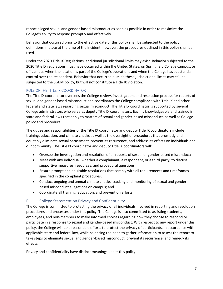report alleged sexual and gender-based misconduct as soon as possible in order to maximize the College's ability to respond promptly and effectively.

Behavior that occurred prior to the effective date of this policy shall be subjected to the policy definitions in place at the time of the incident, however, the procedures outlined in this policy shall be used.

Under the 2020 Title IX Regulations, additional jurisdictional limits may exist. Behavior subjected to the 2020 Title IX regulations must have occurred within the United States, on Springfield College campus, or off campus when the location is part of the College's operations and when the College has substantial control over the respondent. Behavior that occurred outside these jurisdictional limits may still be subjected to the SGBM policy, but will not constitute a Title IX violation.

### ROLE OF THE TITLE IX COORDINATOR

The Title IX coordinator oversees the College review, investigation, and resolution process for reports of sexual and gender-based misconduct and coordinates the College compliance with Title IX and other federal and state laws regarding sexual misconduct. The Title IX coordinator is supported by several College administrators who serve as deputy Title IX coordinators. Each is knowledgeable and trained in state and federal laws that apply to matters of sexual and gender-based misconduct, as well as College policy and procedure.

The duties and responsibilities of the Title IX coordinator and deputy Title IX coordinators include training, education, and climate checks as well as the oversight of procedures that promptly and equitably eliminate sexual harassment, prevent its recurrence, and address its effects on individuals and our community. The Title IX coordinator and deputy Title IX coordinators will:

- Oversee the investigation and resolution of all reports of sexual or gender-based misconduct;
- Meet with any individual, whether a complainant, a respondent, or a third party, to discuss supportive measures, resources, and procedural questions;
- Ensure prompt and equitable resolutions that comply with all requirements and timeframes specified in the complaint procedures;
- Conduct ongoing and annual climate checks, tracking and monitoring of sexual and genderbased misconduct allegations on campus; and
- Coordinate all training, education, and prevention efforts.

### <span id="page-6-0"></span>F. College Statement on Privacy and Confidentiality

The College is committed to protecting the privacy of all individuals involved in reporting and resolution procedures and processes under this policy. The College is also committed to assisting students, employees, and non-members to make informed choices regarding how they choose to respond or participate in a response to sexual and gender-based misconduct. With respect to any report under this policy, the College will take reasonable efforts to protect the privacy of participants, in accordance with applicable state and federal law, while balancing the need to gather information to assess the report to take steps to eliminate sexual and gender-based misconduct, prevent its recurrence, and remedy its effects.

Privacy and confidentiality have distinct meanings under this policy: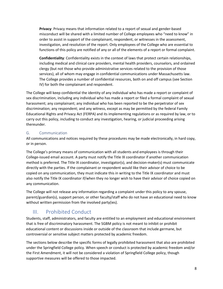**Privacy**: Privacy means that information related to a report of sexual and gender-based misconduct will be shared with a limited number of College employees who "need to know" in order to assist in support of the complainant, respondent, or witnesses in the assessment, investigation, and resolution of the report. Only employees of the College who are essential to functions of this policy are notified of any or all of the elements of a report or formal complaint.

**Confidentiality**: Confidentiality exists in the context of laws that protect certain relationships, including medical and clinical care providers, mental health providers, counselors, and ordained clergy (but not those who provide administrative services related to the provision of those services), all of whom may engage in confidential communications under Massachusetts law. The College provides a number of confidential resources, both on and off campus (see Section IV) for both the complainant and respondent.

The College will keep confidential the identity of any individual who has made a report or complaint of sex discrimination, including any individual who has made a report or filed a formal complaint of sexual harassment; any complainant; any individual who has been reported to be the perpetrator of sex discrimination; any respondent; and any witness, except as may be permitted by the federal Family Educational Rights and Privacy Act (FERPA) and its implementing regulations or as required by law, or to carry out this policy, including to conduct any investigation, hearing, or judicial proceeding arising thereunder.

### <span id="page-7-0"></span>G. Communication

All communications and notices required by these procedures may be made electronically, in hard copy, or in person.

The College's primary means of communication with all students and employees is through their College-issued email account. A party must notify the Title IX coordinator if another communication method is preferred. The Title IX coordinator, investigator(s), and decision-maker(s) must communicate directly with the parties. If the complainant or respondent would like their advisor of choice to be copied on any communication, they must indicate this in writing to the Title IX coordinator and must also notify the Title IX coordinator if/when they no longer wish to have their advisor of choice copied on any communication.

The College will not release any information regarding a complaint under this policy to any spouse, parent/guardian(s), support person, or other faculty/staff who do not have an educational need to know without written permission from the involved party(ies).

# <span id="page-7-1"></span>III. Prohibited Conduct

Students, staff, administrators, and faculty are entitled to an employment and educational environment that is free of discriminatory harassment. The SGBM policy is not meant to inhibit or prohibit educational content or discussions inside or outside of the classroom that include germane, but controversial or sensitive subject matters protected by academic freedom.

The sections below describe the specific forms of legally prohibited harassment that also are prohibited under the Springfield College policy. When speech or conduct is protected by academic freedom and/or the First Amendment, it will not be considered a violation of Springfield College policy, though supportive measures will be offered to those impacted.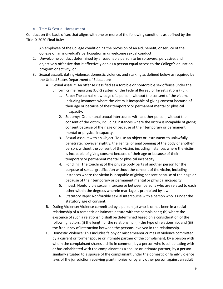### A. Title IX Sexual Harassment

<span id="page-8-0"></span>Conduct on the basis of sex that aligns with one or more of the following conditions as defined by the Title IX 2020 Final Rule:

- 1. An employee of the College conditioning the provision of an aid, benefit, or service of the College on an individual's participation in unwelcome sexual conduct;
- 2. Unwelcome conduct determined by a reasonable person to be so severe, pervasive, and objectively offensive that it effectively denies a person equal access to the College's education program or activity; or
- 3. Sexual assault, dating violence, domestic violence, and stalking as defined below as required by the United States Department of Education:
	- A. Sexual Assault: An offense classified as a forcible or nonforcible sex offense under the uniform crime reporting (UCR) system of the Federal Bureau of Investigations (FBI).
		- 1. Rape: The carnal knowledge of a person, without the consent of the victim, including instances where the victim is incapable of giving consent because of their age or because of their temporary or permanent mental or physical incapacity.
		- 2. Sodomy: Oral or anal sexual intercourse with another person, without the consent of the victim, including instances where the victim is incapable of giving consent because of their age or because of their temporary or permanent mental or physical incapacity.
		- 3. Sexual Assault with an Object: To use an object or instrument to unlawfully penetrate, however slightly, the genital or anal opening of the body of another person, without the consent of the victim, including instances where the victim is incapable of giving consent because of their age or because of their temporary or permanent mental or physical incapacity.
		- 4. Fondling: The touching of the private body parts of another person for the purpose of sexual gratification without the consent of the victim, including instances where the victim is incapable of giving consent because of their age or because of their temporary or permanent mental or physical incapacity.
		- 5. Incest: Nonforcible sexual intercourse between persons who are related to each other within the degrees wherein marriage is prohibited by law.
		- 6. Statutory Rape: Nonforcible sexual intercourse with a person who is under the statutory age of consent.
	- B. Dating Violence: Violence committed by a person (a) who is or has been in a social relationship of a romantic or intimate nature with the complainant; (b) where the existence of such a relationship shall be determined based on a consideration of the following factors: (i) the length of the relationship; (ii) the type of relationship; and (iii) the frequency of interaction between the persons involved in the relationship.
	- C. Domestic Violence: This includes felony or misdemeanor crimes of violence committed by a current or former spouse or intimate partner of the complainant, by a person with whom the complainant shares a child in common, by a person who is cohabitating with or has cohabitated with the complainant as a spouse or intimate partner, by a person similarly situated to a spouse of the complainant under the domestic or family violence laws of the jurisdiction receiving grant monies, or by any other person against an adult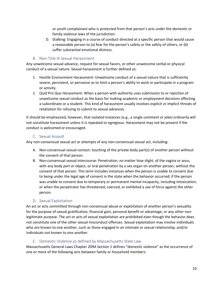or youth complainant who is protected from that person's acts under the domestic or family violence laws of the jurisdiction.

D. Stalking: Engaging in a course of conduct directed at a specific person that would cause a reasonable person to (a) fear for the person's safety or the safety of others, or (b) suffer substantial emotional distress.

### B. Non-Title IX Sexual Harassment

<span id="page-9-0"></span>Any unwelcome sexual advance, request for sexual favors, or other unwelcome verbal or physical conduct of a sexual nature. Sexual harassment is further defined as:

- 1. Hostile Environment Harassment: Unwelcome conduct of a sexual nature that is sufficiently severe, persistent, or pervasive as to limit a person's ability to work or participate in a program or activity.
- 2. Quid Pro Quo Harassment: When a person with authority uses submission to or rejection of unwelcome sexual conduct as the basis for making academic or employment decisions affecting a subordinate or a student. This kind of harassment usually involves explicit or implicit threats of retaliation for refusing to submit to sexual advances.

It should be emphasized, however, that isolated instances (e.g., a single comment or joke) ordinarily will not constitute harassment unless it is repeated or egregious. Harassment may not be present if the conduct is welcomed or encouraged.

### C. Sexual Assault

<span id="page-9-1"></span>Any non-consensual sexual act or attempts of any non-consensual sexual act, including:

- A. Non-consensual sexual contact: touching of the private body part(s) of another person without the consent of that person.
- B. Non-consensual sexual intercourse: Penetration, no matter how slight, of the vagina or anus, with any body part or object, or oral penetration by a sex organ on another person, without the consent of that person. This term includes instances when the person is unable to consent due to being under the legal age of consent in the state when the behavior occurred; if the person was unable to consent due to temporary or permanent mental incapacity, including intoxication; or when the perpetrator has threatened, coerced, or exhibited a use of force against the other person.

### D. Sexual Exploitation

<span id="page-9-2"></span>An act or acts committed through non-consensual abuse or exploitation of another person's sexuality for the purpose of sexual gratification, financial gain, personal benefit or advantage, or any other nonlegitimate purpose. The act or acts of sexual exploitation are prohibited even though the behavior does not constitute one of the other sexual misconduct offenses. Sexual exploitation may involve individuals who are known to one another, such as those engaged in an intimate or sexual relationship, and/or individuals not known to one another.

### E. Domestic Violence as defined by Massachusetts State Law

<span id="page-9-3"></span>Massachusetts General Laws Chapter 209A Section 1 defines "domestic violence" as the occurrence of one or more of the following acts between family or household members: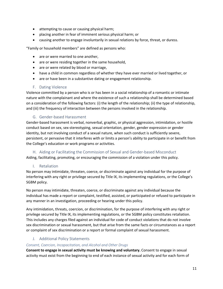- attempting to cause or causing physical harm;
- placing another in fear of imminent serious physical harm; or
- causing another to engage involuntarily in sexual relations by force, threat, or duress.

"Family or household members" are defined as persons who:

- are or were married to one another,
- are or were residing together in the same household,
- are or were related by blood or marriage,
- have a child in common regardless of whether they have ever married or lived together, or
- are or have been in a substantive dating or engagement relationship.

#### F. Dating Violence

<span id="page-10-0"></span>Violence committed by a person who is or has been in a social relationship of a romantic or intimate nature with the complainant and where the existence of such a relationship shall be determined based on a consideration of the following factors: (i) the length of the relationship; (ii) the type of relationship, and (iii) the frequency of interaction between the persons involved in the relationship.

#### G. Gender-based Harassment

<span id="page-10-1"></span>Gender-based harassment is verbal, nonverbal, graphic, or physical aggression, intimidation, or hostile conduct based on sex, sex-stereotyping, sexual orientation, gender, gender expression or gender identity, but not involving conduct of a sexual nature, when such conduct is sufficiently severe, persistent, or pervasive that it interferes with or limits a person's ability to participate in or benefit from the College's education or work programs or activities.

### <span id="page-10-2"></span>H. Aiding or Facilitating the Commission of Sexual and Gender-based Misconduct

Aiding, facilitating, promoting, or encouraging the commission of a violation under this policy.

#### I. Retaliation

<span id="page-10-3"></span>No person may intimidate, threaten, coerce, or discriminate against any individual for the purpose of interfering with any right or privilege secured by Title IX, its implementing regulations, or the College's SGBM policy.

No person may intimidate, threaten, coerce, or discriminate against any individual because the individual has made a report or complaint, testified, assisted, or participated or refused to participate in any manner in an investigation, proceeding or hearing under this policy.

Any intimidation, threats, coercion, or discrimination, for the purpose of interfering with any right or privilege secured by Title IX, its implementing regulations, or the SGBM policy constitutes retaliation. This includes any charges filed against an individual for code of conduct violations that do not involve sex discrimination or sexual harassment, but that arise from the same facts or circumstances as a report or complaint of sex discrimination or a report or formal complaint of sexual harassment.

### J. Additional Policy Statements

#### <span id="page-10-4"></span>*Consent, Coercion, Incapacitation, and Alcohol and Other Drugs*

**Consent to engage in sexual activity must be knowing and voluntary.** Consent to engage in sexual activity must exist from the beginning to end of each instance of sexual activity and for each form of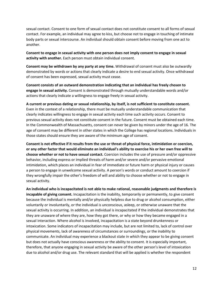sexual contact. Consent to one form of sexual contact does not constitute consent to all forms of sexual contact. For example, an individual may agree to kiss, but choose not to engage in touching of intimate body parts or sexual intercourse. An individual should obtain consent before moving from one act to another.

**Consent to engage in sexual activity with one person does not imply consent to engage in sexual activity with another.** Each person must obtain individual consent.

**Consent may be withdrawn by any party at any time.** Withdrawal of consent must also be outwardly demonstrated by words or actions that clearly indicate a desire to end sexual activity. Once withdrawal of consent has been expressed, sexual activity must cease.

**Consent consists of an outward demonstration indicating that an individual has freely chosen to engage in sexual activity.** Consent is demonstrated through mutually understandable words and/or actions that clearly indicate a willingness to engage freely in sexual activity.

#### **A current or previous dating or sexual relationship, by itself, is not sufficient to constitute consent.**

Even in the context of a relationship, there must be mutually understandable communication that clearly indicates willingness to engage in sexual activity each time such activity occurs. Consent to previous sexual activity does not constitute consent in the future. Consent must be obtained each time. In the Commonwealth of Massachusetts, consent can never be given by minors under the age of 16. The age of consent may be different in other states in which the College has regional locations. Individuals in those states should ensure they are aware of the minimum age of consent.

**Consent is not effective if it results from the use or threat of physical force, intimidation or coercion, or any other factor that would eliminate an individual's ability to exercise his or her own free will to choose whether or not to have sexual contact.** Coercion includes the use of pressure and/or oppressive behavior, including express or implied threats of harm and/or severe and/or pervasive emotional intimidation, which places an individual in fear of immediate or future harm or physical injury or causes a person to engage in unwelcome sexual activity. A person's words or conduct amount to coercion if they wrongfully impair the other's freedom of will and ability to choose whether or not to engage in sexual activity.

**An individual who is incapacitated is not able to make rational, reasonable judgments and therefore is incapable of giving consent.** Incapacitation is the inability, temporarily or permanently, to give consent because the individual is mentally and/or physically helpless due to drug or alcohol consumption, either voluntarily or involuntarily, or the individual is unconscious, asleep, or otherwise unaware that the sexual activity is occurring. In addition, an individual is incapacitated if the individual demonstrates that they are unaware of where they are, how they got there, or why or how they became engaged in a sexual interaction. Where alcohol is involved, incapacitation is a state beyond drunkenness or intoxication. Some indicators of incapacitation may include, but are not limited to, lack of control over physical movements, lack of awareness of circumstances or surroundings, or the inability to communicate. An individual may experience a blackout state in which they appear to be giving consent but does not actually have conscious awareness or the ability to consent. It is especially important, therefore, that anyone engaging in sexual activity be aware of the other person's level of intoxication due to alcohol and/or drug use. The relevant standard that will be applied is whether the respondent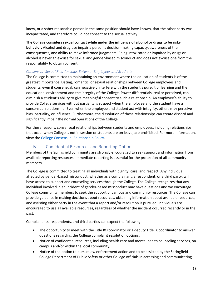knew, or a sober reasonable person in the same position should have known, that the other party was incapacitated, and therefore could not consent to the sexual activity.

**The College considers sexual contact while under the influence of alcohol or drugs to be risky behavior.** Alcohol and drug use impair a person's decision-making capacity, awareness of the consequences, and ability to make informed judgments. Being intoxicated or impaired by drugs or alcohol is never an excuse for sexual and gender-based misconduct and does not excuse one from the responsibility to obtain consent.

#### *Consensual Sexual Relationships Between Employees and Students*

The College is committed to maintaining an environment where the education of students is of the greatest importance. Dating, romantic, or sexual relationships between College employees and students, even if consensual, can negatively interfere with the student's pursuit of learning and the educational environment and the integrity of the College. Power differentials, real or perceived, can diminish a student's ability to give meaningful consent to such a relationship. An employee's ability to provide College services without partiality is suspect when the employee and the student have a consensual relationship. Even when the employee and student act with integrity, others may perceive bias, partiality, or influence. Furthermore, the dissolution of these relationships can create discord and significantly impair the normal operations of the College.

For these reasons, consensual relationships between students and employees, including relationships that occur when College is not in session or students are on leave, are prohibited. For more information, view th[e College Consensual Relationship Policy.](https://springfield.edu/sites/default/files/inline-files/cons-relationship-policy.pdf)

### IV. Confidential Resources and Reporting Options

<span id="page-12-0"></span>Members of the Springfield community are strongly encouraged to seek support and information from available reporting resources. Immediate reporting is essential for the protection of all community members.

The College is committed to treating all individuals with dignity, care, and respect. Any individual affected by gender-based misconduct, whether as a complainant, a respondent, or a third party, will have access to support and counseling services through the College. The College recognizes that any individual involved in an incident of gender-based misconduct may have questions and we encourage College community members to seek the support of campus and community resources. The College can provide guidance in making decisions about resources, obtaining information about available resources, and assisting either party in the event that a report and/or resolution is pursued. Individuals are encouraged to use all available resources, regardless of whether the incident occurred recently or in the past.

Complainants, respondents, and third parties can expect the following:

- The opportunity to meet with the Title IX coordinator or a deputy Title IX coordinator to answer questions regarding the College complaint resolution options;
- Notice of confidential resources, including health care and mental health counseling services, on campus and/or within the local community;
- Notice of the option to pursue law enforcement action and to be assisted by the Springfield College Department of Public Safety or other College officials in accessing and communicating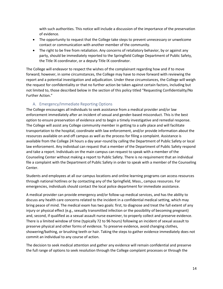with such authorities. This notice will include a discussion of the importance of the preservation of evidence.

- The opportunity to request that the College take steps to prevent unnecessary or unwelcome contact or communication with another member of the community.
- The right to be free from retaliation. Any concerns of retaliatory behavior, by or against any party, should be immediately reported to the Springfield College Department of Public Safety, the Title IX coordinator, or a deputy Title IX coordinator.

The College will endeavor to respect the wishes of the complainant regarding how and if to move forward; however, in some circumstances, the College may have to move forward with reviewing the report and a potential investigation and adjudication. Under these circumstances, the College will weigh the request for confidentiality or that no further action be taken against certain factors, including but not limited to, those described below in the section of this policy titled "Requesting Confidentiality/No Further Action."

### A. Emergency/Immediate Reporting Options

<span id="page-13-0"></span>The College encourages all individuals to seek assistance from a medical provider and/or law enforcement immediately after an incident of sexual and gender-based misconduct. This is the best option to ensure preservation of evidence and to begin a timely investigative and remedial response. The College will assist any College community member in getting to a safe place and will facilitate transportation to the hospital, coordinate with law enforcement, and/or provide information about the resources available on and off campus as well as the process for filing a complaint. Assistance is available from the College 24 hours a day year-round by calling the Department of Public Safety or local law enforcement. Any individual can request that a member of the Department of Public Safety respond and take a report. Individuals on the main campus can request to speak with a member of the Counseling Center without making a report to Public Safety. There is no requirement that an individual file a complaint with the Department of Public Safety in order to speak with a member of the Counseling Center.

Students and employees at all our campus locations and online learning programs can access resources through national hotlines or by contacting any of the Springfield, Mass., campus resources. For emergencies, individuals should contact the local police department for immediate assistance.

A medical provider can provide emergency and/or follow-up medical services, and has the ability to discuss any health care concerns related to the incident in a confidential medical setting, which may bring peace of mind. The medical exam has two goals: first, to diagnose and treat the full extent of any injury or physical effect (e.g., sexually transmitted infection or the possibility of becoming pregnant) and, second, if qualified as a sexual assault nurse examiner, to properly collect and preserve evidence. There is a limited window of time (typically 72 to 96 hours) following an incident of sexual assault to preserve physical and other forms of evidence. To preserve evidence, avoid changing clothes, showering/bathing, or brushing teeth or hair. Taking the steps to gather evidence immediately does not commit an individual to any course of action.

The decision to seek medical attention and gather any evidence will remain confidential and preserve the full range of options to seek resolution through the College complaint processes or through the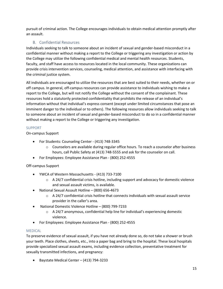pursuit of criminal action. The College encourages individuals to obtain medical attention promptly after an assault.

### B. Confidential Resources

<span id="page-14-0"></span>Individuals seeking to talk to someone about an incident of sexual and gender-based misconduct in a confidential manner without making a report to the College or triggering any investigation or action by the College may utilize the following confidential medical and mental health resources. Students, faculty, and staff have access to resources located in the local community. These organizations can provide crisis intervention services, counseling, medical attention, and assistance with interfacing with the criminal justice system.

All individuals are encouraged to utilize the resources that are best suited to their needs, whether on or off campus. In general, off-campus resources can provide assistance to individuals wishing to make a report to the College, but will not notify the College without the consent of the complainant. These resources hold a statutorily protected confidentiality that prohibits the release of an individual's information without that individual's express consent (except under limited circumstances that pose an imminent danger to the individual or to others). The following resources allow individuals seeking to talk to someone about an incident of sexual and gender-based misconduct to do so in a confidential manner without making a report to the College or triggering any investigation.

### SUPPORT

On-campus Support

- For Students: Counseling Center (413) 748-3345
	- o Counselors are available during regular office hours. To reach a counselor after business hours, call Public Safety at (413) 748-5555 and ask for the counselor on call.
- For Employees: Employee Assistance Plan (800) 252-4555

### Off-campus Support

- YWCA of Western Massachusetts (413) 733-7100
	- $\circ$  A 24/7 confidential crisis hotline, including support and advocacy for domestic violence and sexual assault victims, is available.
- National Sexual Assault Hotline (800) 656-4673
	- $\circ$  A 24/7 confidential crisis hotline that connects individuals with sexual assault service provider in the caller's area.
- National Domestic Violence Hotline (800) 799-7233
	- $\circ$  A 24/7 anonymous, confidential help line for individual's experiencing domestic violence.
- For Employees: Employee Assistance Plan (800) 252-4555

### MEDICAL

To preserve evidence of sexual assault, if you have not already done so, do not take a shower or brush your teeth. Place clothes, sheets, etc., into a paper bag and bring to the hospital. These local hospitals provide specialized sexual assault exams, including evidence collection, preventative treatment for sexually transmitted infections, and pregnancy:

• Baystate Medical Center – (413) 794-3233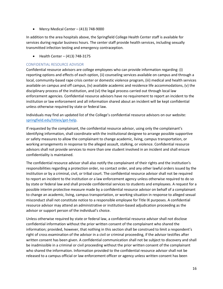• Mercy Medical Center – (413) 748-9000

In addition to the area hospitals above, the Springfield College Health Center staff is available for services during regular business hours. The center staff provide health services, including sexually transmitted infection testing and emergency contraception.

• Health Center – (413) 748-3175

#### CONFIDENTIAL RESOURCE ADVISOR

Confidential resource advisors are college employees who can provide information regarding: (i) reporting options and effects of each option, (ii) counseling services available on campus and through a local, community-based rape crisis center or domestic violence program, (iii) medical and health services available on campus and off campus, (iv) available academic and residence life accommodations, (v) the disciplinary process of the institution, and (vi) the legal process carried out through local law enforcement agencies. Confidential resource advisors have no requirement to report an incident to the institution or law enforcement and all information shared about an incident will be kept confidential unless otherwise required by state or federal law.

Individuals may find an updated list of the College's confidential resource advisors on our website: springfield.edu/titleix/get-help.

If requested by the complainant, the confidential resource advisor, using only the complainant's identifying information, shall coordinate with the institutional designee to arrange possible supportive or safety measures to allow the complainant to change academic, living, campus transportation, or working arrangements in response to the alleged assault, stalking, or violence. Confidential resource advisors shall not provide services to more than one student involved in an incident and shall ensure confidentiality is maintained.

The confidential resource advisor shall also notify the complainant of their rights and the institution's responsibilities regarding a protection order, no contact order, and any other lawful orders issued by the institution or by a criminal, civil, or tribal court. The confidential resource advisor shall not be required to report an incident to the institution or a law enforcement agency unless otherwise required to do so by state or federal law and shall provide confidential services to students and employees. A request for a possible interim protective measure made by a confidential resource advisor on behalf of a complainant to change an academic, living, campus transportation, or working situation in response to alleged sexual misconduct shall not constitute notice to a responsible employee for Title IX purposes. A confidential resource advisor may attend an administrative or institution-based adjudication proceeding as the advisor or support person of the individual's choice.

Unless otherwise required by state or federal law, a confidential resource advisor shall not disclose confidential information without the prior written consent of the complainant who shared the information; provided, however, that nothing in this section shall be construed to limit a respondent's right of cross examination of the advisor in a civil or criminal proceeding, if the advisor testifies after written consent has been given. A confidential communication shall not be subject to discovery and shall be inadmissible in a criminal or civil proceeding without the prior written consent of the complainant who shared the information. Information provided to the confidential resource advisor shall not be released to a campus official or law enforcement officer or agency unless written consent has been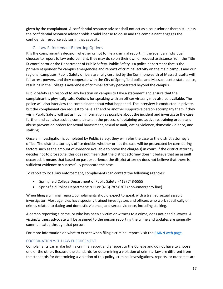given by the complainant. A confidential resource advisor shall not act as a counselor or therapist unless the confidential resource advisor holds a valid license to do so and the complainant engages the confidential resource advisor in that capacity.

### C. Law Enforcement Reporting Options

<span id="page-16-0"></span>It is the complainant's decision whether or not to file a criminal report. In the event an individual chooses to report to law enforcement, they may do so on their own or request assistance from the Title IX coordinator or the Department of Public Safety. Public Safety is a police department that is the primary responder for campus emergencies and reports of criminal activity on the main campus and our regional campuses. Public Safety officers are fully certified by the Commonwealth of Massachusetts with full arrest powers, and they cooperate with the City of Springfield police and Massachusetts state police, resulting in the College's awareness of criminal activity perpetrated beyond the campus.

Public Safety can respond to any location on campus to take a statement and ensure that the complainant is physically safe. Options for speaking with an officer virtually may also be available. The police will also interview the complainant about what happened. The interview is conducted in private, but the complainant can request to have a friend or another supportive person accompany them if they wish. Public Safety will get as much information as possible about the incident and investigate the case further and can also assist a complainant in the process of obtaining protective restraining orders and abuse prevention orders for sexual harassment, sexual assault, dating violence, domestic violence, and stalking.

Once an investigation is completed by Public Safety, they will refer the case to the district attorney's office. The district attorney's office decides whether or not the case will be prosecuted by considering factors such as the amount of evidence available to prove the charge(s) in court. If the district attorney decides not to prosecute, this does not mean that the district attorney doesn't believe that an assault occurred. It means that based on past experience, the district attorney does not believe that there is sufficient evidence to successfully prosecute the case.

To report to local law enforcement, complainants can contact the following agencies:

- Springfield College Department of Public Safety: (413) 748-5555
- Springfield Police Department: 911 or (413) 787-6302 (non-emergency line)

When filing a criminal report, complainants should expect to speak with a trained sexual assault investigator. Most agencies have specially trained investigators and officers who work specifically on crimes related to dating and domestic violence, and sexual violence, including stalking.

A person reporting a crime, or who has been a victim or witness to a crime, does not need a lawyer. A victim/witness advocate will be assigned to the person reporting the crime and updates are generally communicated through that person.

For more information on what to expect when filing a criminal report, visit the [RAINN web page.](https://www.rainn.org/reporting-and-criminal-justice-system)

### COORDINATION WITH LAW ENFORCEMENT

Complainants can make both a criminal report and a report to the College and do not have to choose one or the other. Because the standards for determining a violation of criminal law are different from the standards for determining a violation of this policy, criminal investigations, reports, or outcomes are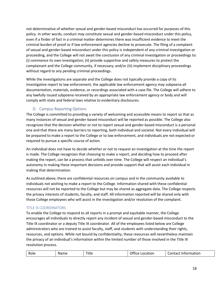not determinative of whether sexual and gender-based misconduct has occurred for purposes of this policy. In other words, conduct may constitute sexual and gender-based misconduct under this policy, even if a finder of fact in a criminal matter determines there was insufficient evidence to meet the criminal burden of proof or if law enforcement agencies decline to prosecute. The filing of a complaint of sexual and gender-based misconduct under this policy is independent of any criminal investigation or proceeding, and the College will not await the conclusion of any criminal investigation or proceedings to: (i) commence its own investigation; (ii) provide supportive and safety measures to protect the complainant and the College community, if necessary; and/or (iii) implement disciplinary proceedings without regard to any pending criminal proceedings.

While the investigations are separate and the College does not typically provide a copy of its investigative report to law enforcement, the applicable law enforcement agency may subpoena all documentation, materials, evidence, or recordings associated with a case file. The College will adhere to any lawfully issued subpoena received by an appropriate law enforcement agency or body and will comply with state and federal laws relative to evidentiary disclosures.

### D. Campus Reporting Options

<span id="page-17-0"></span>The College is committed to providing a variety of welcoming and accessible means to report so that as many instances of sexual and gender-based misconduct will be reported as possible. The College also recognizes that the decision whether or not to report sexual and gender-based misconduct is a personal one and that there are many barriers to reporting, both individual and societal. Not every individual will be prepared to make a report to the College or to law enforcement, and individuals are not expected or required to pursue a specific course of action.

An individual does not have to decide whether or not to request an investigation at the time the report is made. The College recognizes that choosing to make a report, and deciding how to proceed after making the report, can be a process that unfolds over time. The College will respect an individual's autonomy in making these important decisions and provide support that will assist each individual in making that determination.

As outlined above, there are confidential resources on campus and in the community available to individuals not wishing to make a report to the College. Information shared with these confidential resources will not be reported to the College but may be shared as aggregate data. The College respects the privacy interests of students, faculty, and staff. All information reported will be shared only with those College employees who will assist in the investigation and/or resolution of the complaint.

### TITLE IX COORDINATORS

To enable the College to respond to all reports in a prompt and equitable manner, the College encourages all individuals to directly report any incident of sexual and gender-based misconduct to the Title IX coordinator or a deputy Title IX coordinator. All of the employees listed below are College administrators who are trained to assist faculty, staff, and students with understanding their rights, resources, and options. While not bound by confidentiality, these resources will nevertheless maintain the privacy of an individual's information within the limited number of those involved in the Title IX resolution process.

| Title<br>Role<br>Information<br>Name<br>iontact.<br><b>Ittice</b><br>Location<br>∼<br>_______ |
|-----------------------------------------------------------------------------------------------|
|-----------------------------------------------------------------------------------------------|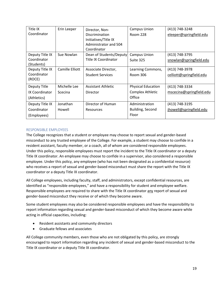| Title IX        | Erin Leeper     | Director, Non-            | <b>Campus Union</b>       | (413) 748-3248           |
|-----------------|-----------------|---------------------------|---------------------------|--------------------------|
| Coordinator     |                 | Discrimination            | <b>Room 228</b>           | eleeper@springfield.edu  |
|                 |                 | Initiatives/Title IX      |                           |                          |
|                 |                 | Administrator and 504     |                           |                          |
|                 |                 | Coordinator               |                           |                          |
| Deputy Title IX | Sue Nowlan      | Dean of Students/Deputy   | <b>Campus Union</b>       | (413) 748-3795           |
| Coordinator     |                 | Title IX Coordinator      | Suite 325                 | snowlan@springfield.edu  |
| (Students)      |                 |                           |                           |                          |
| Deputy Title IX | Camille Elliott | Associate Director,       | Learning Commons,         | (413) 748-3978           |
| Coordinator     |                 | <b>Student Services</b>   | <b>Room 306</b>           | celliott@springfield.edu |
| (ROCE)          |                 |                           |                           |                          |
| Deputy Title    | Michelle Lee    | <b>Assistant Athletic</b> | <b>Physical Education</b> | (413) 748-3334           |
| IX Coordinator  | Scecina         | Director                  | Complex Athletic          | mscecina@springfield.edu |
| (Athletics)     |                 |                           | Office                    |                          |
| Deputy Title IX | Jonathan        | Director of Human         | Administration            | (413) 748-3195           |
| Coordinator     | Howell          | Resources                 | Building, Second          | jhowell@springfield.edu  |
| (Employees)     |                 |                           | Floor                     |                          |

#### RESPONSIBLE EMPLOYEES

The College recognizes that a student or employee may choose to report sexual and gender-based misconduct to any trusted employee of the College. For example, a student may choose to confide in a resident assistant, faculty member, or a coach, all of whom are considered responsible employees. Under this policy, responsible employees must report the incident to the Title IX coordinator or a deputy Title IX coordinator. An employee may choose to confide in a supervisor, also considered a responsible employee. Under this policy, any employee (who has not been designated as a confidential resource) who receives a report of sexual and gender-based misconduct must share the report with the Title IX coordinator or a deputy Title IX coordinator.

All College employees, including faculty, staff, and administrators, except confidential resources, are identified as "responsible employees," and have a responsibility for student and employee welfare. Responsible employees are required to share with the Title IX coordinator any report of sexual and gender-based misconduct they receive or of which they become aware.

Some student employees may also be considered responsible employees and have the responsibility to report information regarding sexual and gender-based misconduct of which they become aware while acting in official capacities, including:

- Resident assistants and community directors
- Graduate fellows and associates

All College community members, even those who are not obligated by this policy, are strongly encouraged to report information regarding any incident of sexual and gender-based misconduct to the Title IX coordinator or a deputy Title IX coordinator.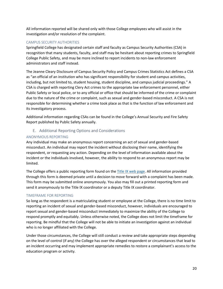All information reported will be shared only with those College employees who will assist in the investigation and/or resolution of the complaint.

#### CAMPUS SECURITY AUTHORITIES

Springfield College has designated certain staff and faculty as Campus Security Authorities (CSA) in recognition that many students, faculty, and staff may be hesitant about reporting crimes to Springfield College Public Safety, and may be more inclined to report incidents to non-law enforcement administrators and staff instead.

The Jeanne Cleary Disclosure of Campus Security Policy and Campus Crimes Statistics Act defines a CSA as "an official of an institution who has significant responsibility for student and campus activities, including, but not limited to, student housing, student discipline, and campus judicial proceedings." A CSA is charged with reporting Clery Act crimes to the appropriate law enforcement personnel, either Public Safety or local police, or to any official or office that should be informed of the crime or complaint due to the nature of the crime or complaint, such as sexual and gender-based misconduct. A CSA is not responsible for determining whether a crime took place as that is the function of law enforcement and its investigatory process.

Additional information regarding CSAs can be found in the College's Annual Security and Fire Safety Report published by Public Safety annually.

### E. Additional Reporting Options and Considerations

### <span id="page-19-0"></span>ANONYMOUS REPORTING

Any individual may make an anonymous report concerning an act of sexual and gender-based misconduct. An individual may report the incident without disclosing their name, identifying the respondent, or requesting any action. Depending on the level of information available about the incident or the individuals involved, however, the ability to respond to an anonymous report may be limited.

The College offers a public reporting form found on th[e Title IX web page.](http://www.springfield.edu/titleix) All information provided through this form is deemed private until a decision to move forward with a complaint has been made. This form may be submitted online anonymously. You also may fill out a printed reporting form and send it anonymously to the Title IX coordinator or a deputy Title IX coordinator.

### TIMEFRAME FOR REPORTING

So long as the respondent is a matriculating student or employee at the College, there is no time limit to reporting an incident of sexual and gender-based misconduct, however, individuals are encouraged to report sexual and gender-based misconduct immediately to maximize the ability of the College to respond promptly and equitably. Unless otherwise noted, the College does not limit the timeframe for reporting. Be mindful that the College will not be able to initiate an investigation against an individual who is no longer affiliated with the College.

Under those circumstances, the College will still conduct a review and take appropriate steps depending on the level of control (if any) the College has over the alleged respondent or circumstances that lead to an incident occurring and may implement appropriate remedies to restore a complainant's access to the education program or activity.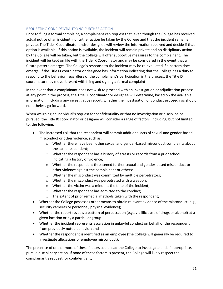#### REQUESTING CONFIDENTIALITY/NO FURTHER ACTION

Prior to filing a formal complaint, a complainant can request that, even though the College has received actual notice of an incident, no further action be taken by the College and that the incident remains private. The Title IX coordinator and/or designee will review the information received and decide if that option is available. If this option is available, the incident will remain private and no disciplinary action by the College will be taken, but the College will offer supportive measures to the complainant. The incident will be kept on file with the Title IX Coordinator and may be considered in the event that a future pattern emerges. The College's response to the incident may be re-evaluated if a pattern does emerge. If the Title IX coordinator or designee has information indicating that the College has a duty to respond to the behavior, regardless of the complainant's participation in the process, the Title IX coordinator may move forward with filing and signing a formal complaint

In the event that a complainant does not wish to proceed with an investigation or adjudication process at any point in the process, the Title IX coordinator or designee will determine, based on the available information, including any investigative report, whether the investigation or conduct proceedings should nonetheless go forward.

When weighing an individual's request for confidentiality or that no investigation or discipline be pursued, the Title IX coordinator or designee will consider a range of factors, including, but not limited to, the following:

- The increased risk that the respondent will commit additional acts of sexual and gender-based misconduct or other violence, such as:
	- $\circ$  Whether there have been other sexual and gender-based misconduct complaints about the same respondent;
	- o Whether the respondent has a history of arrests or records from a prior school indicating a history of violence;
	- $\circ$  Whether the respondent threatened further sexual and gender-based misconduct or other violence against the complainant or others;
	- o Whether the misconduct was committed by multiple perpetrators;
	- o Whether the misconduct was perpetrated with a weapon;
	- o Whether the victim was a minor at the time of the incident;
	- o Whether the respondent has admitted to the conduct;
	- o The extent of prior remedial methods taken with the respondent;
- Whether the College possesses other means to obtain relevant evidence of the misconduct (e.g., security cameras or personnel, physical evidence);
- Whether the report reveals a pattern of perpetration (e.g., via illicit use of drugs or alcohol) at a given location or by a particular group.
- Whether the incident represents escalation in unlawful conduct on behalf of the respondent from previously noted behavior; and
- Whether the respondent is identified as an employee (the College will generally be required to investigate allegations of employee misconduct).

The presence of one or more of these factors could lead the College to investigate and, if appropriate, pursue disciplinary action. If none of these factors is present, the College will likely respect the complainant's request for confidentiality.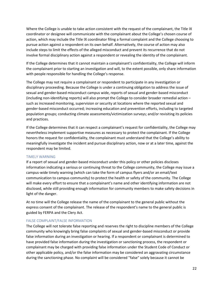Where the College is unable to take action consistent with the request of the complainant, the Title IX coordinator or designee will communicate with the complainant about the College's chosen course of action, which may include the Title IX coordinator filing a formal complaint and the College choosing to pursue action against a respondent on its own behalf. Alternatively, the course of action may also include steps to limit the effects of the alleged misconduct and prevent its recurrence that do not involve formal disciplinary action against a respondent or revealing the identity of the complainant.

If the College determines that it cannot maintain a complainant's confidentiality, the College will inform the complainant prior to starting an investigation and will, to the extent possible, only share information with people responsible for handling the College's response.

The College may not require a complainant or respondent to participate in any investigation or disciplinary proceeding. Because the College is under a continuing obligation to address the issue of sexual and gender-based misconduct campus wide, reports of sexual and gender-based misconduct (including non-identifying reports) will also prompt the College to consider broader remedial action – such as increased monitoring, supervision or security at locations where the reported sexual and gender-based misconduct occurred; increasing education and prevention efforts, including to targeted population groups; conducting climate assessments/victimization surveys; and/or revisiting its policies and practices.

If the College determines that it can respect a complainant's request for confidentiality, the College may nevertheless implement supportive measures as necessary to protect the complainant. If the College honors the request for confidentiality, the complainant must understand that the College's ability to meaningfully investigate the incident and pursue disciplinary action, now or at a later time, against the respondent may be limited.

#### TIMELY WARNING

If a report of sexual and gender-based misconduct under this policy or other policies discloses information indicating a serious or continuing threat to the College community, the College may issue a campus-wide timely warning (which can take the form of campus flyers and/or an email/text communication to campus community) to protect the health or safety of the community. The College will make every effort to ensure that a complainant's name and other identifying information are not disclosed, while still providing enough information for community members to make safety decisions in light of the danger.

At no time will the College release the name of the complainant to the general public without the express consent of the complainant. The release of the respondent's name to the general public is guided by FERPA and the Clery Act.

### FALSE COMPLAINT/FALSE INFORMATION

The College will not tolerate false reporting and reserves the right to discipline members of the College community who knowingly bring false complaints of sexual and gender-based misconduct or provide false information during an investigation or hearing. If a respondent or complainant is determined to have provided false information during the investigation or sanctioning process, the respondent or complainant may be charged with providing false information under the Student Code of Conduct or other applicable policy, and/or the false information may be considered an aggravating circumstance during the sanctioning phase. No complaint will be considered "false" solely because it cannot be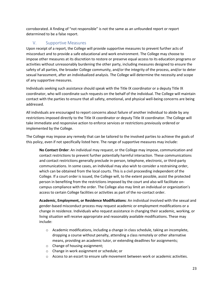corroborated. A finding of "not responsible" is not the same as an unfounded report or report determined to be a false report.

### <span id="page-22-0"></span>V. Supportive Measures

Upon receipt of a report, the College will provide supportive measures to prevent further acts of misconduct and to provide a safe educational and work environment. The College may choose to impose other measures at its discretion to restore or preserve equal access to its education programs or activities without unreasonably burdening the other party, including measures designed to ensure the safety of all parties, the broader College community, and/or the integrity of the process, and/or to deter sexual harassment, after an individualized analysis. The College will determine the necessity and scope of any supportive measures.

Individuals seeking such assistance should speak with the Title IX coordinator or a deputy Title IX coordinator, who will coordinate such requests on the behalf of the individual. The College will maintain contact with the parties to ensure that all safety, emotional, and physical well-being concerns are being addressed.

All individuals are encouraged to report concerns about failure of another individual to abide by any restrictions imposed directly to the Title IX coordinator or deputy Title IX coordinator. The College will take immediate and responsive action to enforce services or restrictions previously ordered or implemented by the College.

The College may impose any remedy that can be tailored to the involved parties to achieve the goals of this policy, even if not specifically listed here. The range of supportive measures may include:

**No Contact Order**: An individual may request, or the College may impose, communication and contact restrictions to prevent further potentially harmful interaction. These communications and contact restrictions generally preclude in-person, telephone, electronic, or third-party communications. In some cases, an individual may also wish to consider a restraining order, which can be obtained from the local courts. This is a civil proceeding independent of the College. If a court order is issued, the College will, to the extent possible, assist the protected person in benefiting from the restrictions imposed by the court and also will facilitate oncampus compliance with the order. The College also may limit an individual or organization's access to certain College facilities or activities as part of the no-contact order.

**Academic, Employment, or Residence Modifications**: An individual involved with the sexual and gender-based misconduct process may request academic or employment modifications or a change in residence. Individuals who request assistance in changing their academic, working, or living situation will receive appropriate and reasonably available modifications. These may include:

- $\circ$  Academic modifications, including a change in class schedule, taking an incomplete, dropping a course without penalty, attending a class remotely or other alternative means, providing an academic tutor, or extending deadlines for assignments;
- o Change of housing assignment;
- o Change in work assignment or schedule; or
- $\circ$  Access to an escort to ensure safe movement between work or academic activities.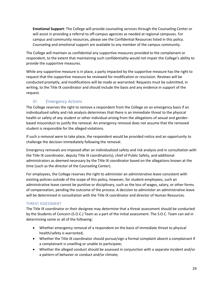**Emotional Support**: The College will provide counseling services through the Counseling Center or will assist in providing a referral to off-campus agencies as needed at regional campuses. For campus and community resources, please see the Confidential Resources listed in this policy. Counseling and emotional support are available to any member of the campus community.

The College will maintain as confidential any supportive measures provided to the complainant or respondent, to the extent that maintaining such confidentiality would not impair the College's ability to provide the supportive measures.

While any supportive measure is in place, a party impacted by the supportive measure has the right to request that the supportive measure be reviewed for modification or rescission. Reviews will be conducted promptly, and modifications will be made as warranted. Requests must be submitted, in writing, to the Title IX coordinator and should include the basis and any evidence in support of the request.

### VI. Emergency Actions

<span id="page-23-0"></span>The College reserves the right to remove a respondent from the College on an emergency basis if an individualized safety and risk analysis determines that there is an immediate threat to the physical health or safety of any student or other individual arising from the allegations of sexual and genderbased misconduct to justify the removal. An emergency removal does not assume that the removed student is responsible for the alleged violations.

If such a removal were to take place, the respondent would be provided notice and an opportunity to challenge the decision immediately following the removal.

Emergency removals are imposed after an individualized safety and risk analysis and in consultation with the Title IX coordinator, deputy Title IX coordinator(s), chief of Public Safety, and additional administrators as deemed necessary by the Title IX coordinator based on the allegations known at the time (such as the director of the Counseling Center).

For employees, the College reserves the right to administer an administrative leave consistent with existing policies outside of the scope of this policy, however, for student-employees, such an administrative leave cannot be punitive or disciplinary, such as the loss of wages, salary, or other forms of compensation, pending the outcome of the process. A decision to administer an administrative leave will be determined in consultation with the Title IX coordinator and director of Human Resources.

### THREAT ASSESSMENT

The Title IX coordinator or their designee may determine that a threat assessment should be conducted by the Students of Concern (S.O.C.) Team as a part of the initial assessment. The S.O.C. Team can aid in determining some or all of the following:

- Whether emergency removal of a respondent on the basis of immediate threat to physical health/safety is warranted;
- Whether the Title IX coordinator should pursue/sign a formal complaint absent a complainant if a complainant is unwilling or unable to participate;
- Whether the alleged conduct should be assessed in conjunction with a separate incident and/or a pattern of behavior or conduct and/or climate;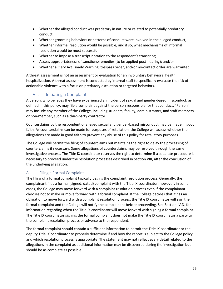- Whether the alleged conduct was predatory in nature or related to potentially predatory conduct;
- Whether grooming behaviors or patterns of conduct were involved in the alleged conduct;
- Whether informal resolution would be possible, and if so, what mechanisms of informal resolution would be most successful;
- Whether to impose a transcript notation to the respondent's transcript;
- Assess appropriateness of sanctions/remedies (to be applied post-hearing); and/or
- Whether a Clery Act Timely Warning, trespass order, and/or no-contact order are warranted.

A threat assessment is not an assessment or evaluation for an involuntary behavioral health hospitalization. A threat assessment is conducted by internal staff to specifically evaluate the risk of actionable violence with a focus on predatory escalation or targeted behaviors.

### VII. Initiating a Complaint

<span id="page-24-0"></span>A person, who believes they have experienced an incident of sexual and gender-based misconduct, as defined in this policy, may file a complaint against the person responsible for that conduct. "Person" may include any member of the College, including students, faculty, administrators, and staff members, or non-member, such as a third-party contractor.

Counterclaims by the respondent of alleged sexual and gender-based misconduct may be made in good faith. As counterclaims can be made for purposes of retaliation, the College will assess whether the allegations are made in good faith to prevent any abuse of this policy for retaliatory purposes.

The College will permit the filing of counterclaims but maintains the right to delay the processing of counterclaims if necessary. Some allegations of counterclaims may be resolved through the same investigative process. The Title IX coordinator reserves the right to determine if a separate procedure is necessary to proceed under the resolution processes described in Section VIII, after the conclusion of the underlying allegation.

### <span id="page-24-1"></span>A. Filing a Formal Complaint

The filing of a formal complaint typically begins the complaint resolution process. Generally, the complainant files a formal (signed, dated) complaint with the Title IX coordinator, however, in some cases, the College may move forward with a complaint resolution process even if the complainant chooses not to make or move forward with a formal complaint. If the College decides that it has an obligation to move forward with a complaint resolution process, the Title IX coordinator will sign the formal complaint and the College will notify the complainant before proceeding. See Section IV.D. for information regarding when the Title IX coordinator will move forward with signing a formal complaint. The Title IX coordinator signing the formal complaint does not make the Title IX coordinator a party to the complaint resolution process or adverse to the respondent.

The formal complaint should contain a sufficient information to permit the Title IX coordinator or the deputy Title IX coordinator to properly determine if and how the report is subject to the College policy and which resolution process is appropriate. The statement may not reflect every detail related to the allegations in the complaint as additional information may be discovered during the investigation but should be as complete as possible.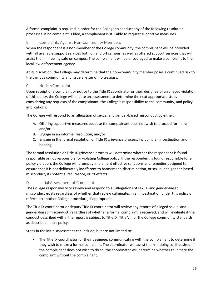A formal complaint is required in order for the College to conduct any of the following resolution processes. If no complaint is filed, a complainant is still able to request supportive measures.

### <span id="page-25-0"></span>B. Complaints Against Non-Community Members

When the respondent is a non-member of the College community, the complainant will be provided with all available support services both on and off campus, as well as offered support services that will assist them in feeling safe on campus. The complainant will be encouraged to make a complaint to the local law enforcement agency.

At its discretion, the College may determine that the non-community member poses a continued risk to the campus community and issue a letter of no trespass.

### <span id="page-25-1"></span>C. Notice/Complaint

Upon receipt of a complaint or notice to the Title IX coordinator or their designee of an alleged violation of this policy, the College will initiate an assessment to determine the next appropriate steps considering any requests of the complainant, the College's responsibility to the community, and policy implications.

The College will respond to an allegation of sexual and gender-based misconduct by either:

- A. Offering supportive measures because the complainant does not wish to proceed formally; and/or
- B. Engage in an informal resolution; and/or
- C. Engage in the formal resolution or Title IX grievance process, including an investigation and hearing.

The formal resolution or Title IX grievance process will determine whether the respondent is found responsible or not responsible for violating College policy. If the respondent is found responsible for a policy violation, the College will promptly implement effective sanctions and remedies designed to ensure that it is not deliberately indifferent to harassment, discrimination, or sexual and gender-based misconduct, its potential recurrence, or its effects.

### <span id="page-25-2"></span>D. Initial Assessment of Complaint

The College responsibility to review and respond to all allegations of sexual and gender-based misconduct exists regardless of whether that review culminates in an investigation under this policy or referral to another College procedure, if appropriate.

The Title IX coordinator or deputy Title IX coordinator will review any reports of alleged sexual and gender-based misconduct, regardless of whether a formal complaint is received, and will evaluate if the conduct described within the report is subject to Title IX, Title VII, or the College community standards as described in this policy.

Steps in the initial assessment can include, but are not limited to:

• The Title IX coordinator, or their designee, communicating with the complainant to determine if they wish to make a formal complaint. The coordinator will assist them in doing so, if desired. If the complainant does not wish to do so, the coordinator will determine whether to initiate the complaint without the complainant.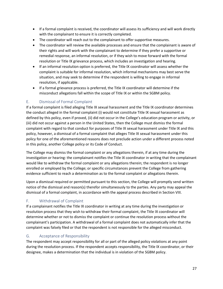- If a formal complaint is received, the coordinator will assess its sufficiency and will work directly with the complainant to ensure it is correctly completed.
- The coordinator will reach out to the complainant to offer supportive measures.
- The coordinator will review the available processes and ensure that the complainant is aware of their rights and will work with the complainant to determine if they prefer a supportive or remedial response, an informal resolution, or if they wish to move forward with the formal resolution or Title IX grievance process, which includes an investigation and hearing.
- If an informal resolution option is preferred, the Title IX coordinator will assess whether the complaint is suitable for informal resolution, which informal mechanisms may best serve the situation, and may seek to determine if the respondent is willing to engage in informal resolution, if applicable.
- If a formal grievance process is preferred, the Title IX coordinator will determine if the misconduct allegations fall within the scope of Title IX or within the SGBM policy.

### <span id="page-26-0"></span>E. Dismissal of Formal Complaint

If a formal complaint is filed alleging Title IX sexual harassment and the Title IX coordinator determines the conduct alleged in the formal complaint (i) would not constitute Title IX sexual harassment as defined by this policy, even if proved, (ii) did not occur in the College's education program or activity, or (iii) did not occur against a person in the United States, then the College must dismiss the formal complaint with regard to that conduct for purposes of Title IX sexual harassment under Title IX and this policy, however, a dismissal of a formal complaint that alleges Title IX sexual harassment under this policy for one of the aforementioned reasons does not preclude action under a different process noted in this policy, another College policy or its Code of Conduct.

The College may dismiss the formal complaint or any allegations therein, if at any time during the investigation or hearing: the complainant notifies the Title IX coordinator in writing that the complainant would like to withdraw the formal complaint or any allegations therein; the respondent is no longer enrolled or employed by the College; or specific circumstances prevent the College from gathering evidence sufficient to reach a determination as to the formal complaint or allegations therein.

Upon a dismissal required or permitted pursuant to this section, the College will promptly send written notice of the dismissal and reason(s) therefor simultaneously to the parties. Any party may appeal the dismissal of a formal complaint, in accordance with the appeal process described in Section VIII.

### <span id="page-26-1"></span>F. Withdrawal of Complaint

If a complainant notifies the Title IX coordinator in writing at any time during the investigation or resolution process that they wish to withdraw their formal complaint, the Title IX coordinator will determine whether or not to dismiss the complaint or continue the resolution process without the complainant's participation. A withdrawal of a formal complaint does not automatically infer that the complaint was falsely filed or that the respondent is not responsible for the alleged misconduct.

### <span id="page-26-2"></span>G. Acceptance of Responsibility

The respondent may accept responsibility for all or part of the alleged policy violations at any point during the resolution process. If the respondent accepts responsibility, the Title IX coordinator, or their designee, makes a determination that the individual is in violation of the SGBM policy.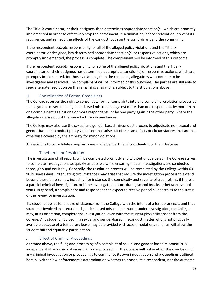The Title IX coordinator, or their designee, then determines appropriate sanction(s), which are promptly implemented in order to effectively stop the harassment, discrimination, and/or retaliation; prevent its recurrence; and remedy the effects of the conduct, both on the complainant and the community.

If the respondent accepts responsibility for all of the alleged policy violations and the Title IX coordinator, or designee, has determined appropriate sanction(s) or responsive actions, which are promptly implemented, the process is complete. The complainant will be informed of this outcome.

If the respondent accepts responsibility for some of the alleged policy violations and the Title IX coordinator, or their designee, has determined appropriate sanction(s) or responsive actions, which are promptly implemented, for those violations, then the remaining allegations will continue to be investigated and resolved. The complainant will be informed of this outcome. The parties are still able to seek alternate resolution on the remaining allegations, subject to the stipulations above.

### <span id="page-27-0"></span>H. Consolidation of Formal Complaints

The College reserves the right to consolidate formal complaints into one complaint resolution process as to allegations of sexual and gender-based misconduct against more than one respondent, by more than one complainant against one or more respondents, or by one party against the other party, where the allegations arise out of the same facts or circumstances.

The College may also use the sexual and gender-based misconduct process to adjudicate non-sexual and gender-based misconduct policy violations that arise out of the same facts or circumstances that are not otherwise covered by the amnesty for minor violations.

All decisions to consolidate complaints are made by the Title IX coordinator, or their designee.

### <span id="page-27-1"></span>I. Timeframe for Resolution

The investigation of all reports will be completed promptly and without undue delay. The College strives to complete investigations as quickly as possible while ensuring that all investigations are conducted thoroughly and equitably. Generally, the resolution process will be completed by the College within 60- 90 business days. Extenuating circumstances may arise that require the investigation process to extend beyond these timeframes, including, for instance: the complexity and severity of a complaint, if there is a parallel criminal investigation, or if the investigation occurs during school breaks or between school years. In general, a complainant and respondent can expect to receive periodic updates as to the status of the review or investigation.

If a student applies for a leave of absence from the College with the intent of a temporary exit, and that student is involved in a sexual and gender-based misconduct matter under investigation, the College may, at its discretion, complete the investigation, even with the student physically absent from the College. Any student involved in a sexual and gender-based misconduct matter who is not physically available because of a temporary leave may be provided with accommodations so far as will allow the student full and equitable participation.

### <span id="page-27-2"></span>J. Effect of Criminal Proceedings

As stated above, the filing and processing of a complaint of sexual and gender-based misconduct is independent of any criminal investigation or proceeding. The College will not wait for the conclusion of any criminal investigation or proceedings to commence its own investigation and proceedings outlined herein. Neither law enforcement's determination whether to prosecute a respondent, nor the outcome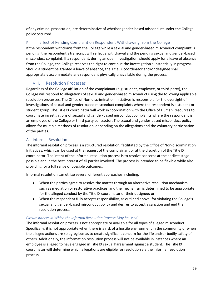of any criminal prosecution, are determinative of whether gender-based misconduct under the College policy occurred.

### <span id="page-28-0"></span>K. Effect of Pending Complaint on Respondent Withdrawing from the College

If the respondent withdraws from the College while a sexual and gender-based misconduct complaint is pending, the respondent's transcript will reflect a withdrawal and the pending sexual and gender-based misconduct complaint. If a respondent, during an open investigation, should apply for a leave of absence from the College, the College reserves the right to continue the investigation substantially in progress. Should a student be granted a leave of absence, the Title IX coordinator and/or designee shall appropriately accommodate any respondent physically unavailable during the process.

### VIII. Resolution Processes

<span id="page-28-1"></span>Regardless of the College affiliation of the complainant (e.g. student, employee, or third-party), the College will respond to allegations of sexual and gender-based misconduct using the following applicable resolution processes. The Office of Non-discrimination Initiatives is responsible for the oversight of investigations of sexual and gender-based misconduct complaints where the respondent is a student or student group. The Title IX coordinator will work in coordination with the Office of Human Resources to coordinate investigations of sexual and gender-based misconduct complaints where the respondent is an employee of the College or third-party contractor. The sexual and gender-based misconduct policy allows for multiple methods of resolution, depending on the allegations and the voluntary participation of the parties.

### <span id="page-28-2"></span>A. Informal Resolution

The informal resolution process is a structured resolution, facilitated by the Office of Non-discrimination Initiatives, which can be used at the request of the complainant or at the discretion of the Title IX coordinator. The intent of the informal resolution process is to resolve concerns at the earliest stage possible and in the best interest of all parties involved. The process is intended to be flexible while also providing for a full range of possible outcomes.

Informal resolution can utilize several different approaches including:

- When the parties agree to resolve the matter through an alternative resolution mechanism, such as mediation or restorative practices, and the mechanism is determined to be appropriate for the alleged conduct by the Title IX coordinator or their designee; or
- When the respondent fully accepts responsibility, as outlined above, for violating the College's sexual and gender-based misconduct policy and desires to accept a sanction and end the resolution process.

### *Circumstances in Which the Informal Resolution Process May be Used*

The informal resolution process is not appropriate or available for all types of alleged misconduct. Specifically, it is not appropriate when there is a risk of a hostile environment in the community or when the alleged actions are so egregious as to create significant concern for the life and/or bodily safety of others. Additionally, the information resolution process will not be available in instances where an employee is alleged to have engaged in Title IX sexual harassment against a student. The Title IX coordinator will determine which allegations are eligible for resolution via the informal resolution process.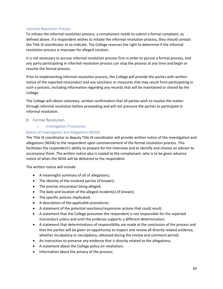#### *Informal Resolution Process*

To initiate the informal resolution process, a complainant needs to submit a formal complaint, as defined above. If a respondent wishes to initiate the informal resolution process, they should contact the Title IX coordinator to so indicate. The College reserves the right to determine if the informal resolution process is improper for alleged conduct.

It is not necessary to pursue informal resolution process first in order to pursue a formal process, and any party participating in informal resolution process can stop the process at any time and begin or resume the formal process.

Prior to implementing informal resolution process, the College will provide the parties with written notice of the reported misconduct and any sanctions or measures that may result from participating in such a process, including information regarding any records that will be maintained or shared by the College.

The College will obtain voluntary, written confirmation that all parties wish to resolve the matter through informal resolution before proceeding and will not pressure the parties to participate in informal resolution.

#### <span id="page-29-0"></span>B. Formal Resolution

#### i. Investigation Procedures

#### Notice of Investigation and Allegations (NOIA)

The Title IX coordinator or deputy Title IX coordinator will provide written notice of the investigation and allegations (NOIA) to the respondent upon commencement of the formal resolution process. This facilitates the respondent's ability to prepare for the interview and to identify and choose an advisor to accompany them. The written notice also is copied to the complainant, who is to be given advance notice of when the NOIA will be delivered to the respondent.

The written notice will include:

- A meaningful summary of all of allegations;
- The identity of the involved parties (if known);
- The precise misconduct being alleged;
- The date and location of the alleged incident(s) (if known);
- The specific policies implicated;
- A description of the applicable procedures;
- A statement of the potential sanctions/responsive actions that could result;
- A statement that the College presumes the respondent is not responsible for the reported misconduct unless and until the evidence supports a different determination;
- A statement that determinations of responsibility are made at the conclusion of the process and that the parties will be given an opportunity to inspect and review all directly related evidence, whether inculpatory or exculpatory, obtained during the review and comment period;
- An instruction to preserve any evidence that is directly related to the allegations;
- A statement about the College policy on retaliation;
- Information about the privacy of the process;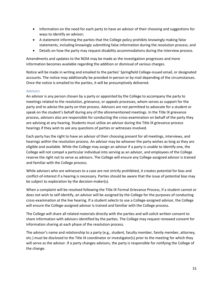- Information on the need for each party to have an advisor of their choosing and suggestions for ways to identify an advisor;
- A statement informing the parties that the College policy prohibits knowingly making false statements, including knowingly submitting false information during the resolution process; and
- Details on how the party may request disability accommodations during the interview process.

Amendments and updates to the NOIA may be made as the investigation progresses and more information becomes available regarding the addition or dismissal of various charges.

Notice will be made in writing and emailed to the parties' Springfield College-issued email, or designated accounts. The notice may additionally be provided in-person or by mail depending of the circumstances. Once the notice is emailed to the parties, it will be presumptively delivered.

#### Advisors

An advisor is any person chosen by a party or appointed by the College to accompany the party to meetings related to the resolution, grievance, or appeals processes, whom serves as support for the party and to advise the party on that process. Advisors are not permitted to advocate for a student or speak on the student's behalf during any of the aforementioned meetings. In the Title IX grievance process, advisors also are responsible for conducting the cross-examination on behalf of the party they are advising at any hearing. Students must utilize an advisor during the Title IX grievance process hearings if they wish to ask any questions of parties or witnesses involved.

Each party has the right to have an advisor of their choosing present for all meetings, interviews, and hearings within the resolution process. An advisor may be whoever the party wishes as long as they are eligible and available. While the College may assign an advisor if a party is unable to identify one, the College will not compel a particular individual into serving as an advisor, and employees of the College reserve the right not to serve as advisors. The College will ensure any College-assigned advisor is trained and familiar with the College process.

While advisors who are witnesses to a case are not strictly prohibited, it creates potential for bias and conflict-of-interest if a hearing is necessary. Parties should be aware that the issue of potential bias may be subject to exploration by the decision-maker(s).

When a complaint will be resolved following the Title IX Formal Grievance Process, if a student cannot or does not wish to self-identify, an advisor will be assigned by the College for the purposes of conducting cross-examination at the live hearing. If a student selects to use a College-assigned advisor, the College will ensure the College-assigned advisor is trained and familiar with the College process.

The College will share all related materials directly with the parties and will solicit written consent to share information with advisors identified by the parties. The College may request renewed consent for information sharing at each phase of the resolution process.

The advisor's name and relationship to a party (e.g., student, faculty member, family member, attorney, etc.) must be disclosed to the Title IX coordinator or investigator(s) prior to the meeting for which they will serve as the advisor. If a party changes advisors, the party is responsible for notifying the College of the change.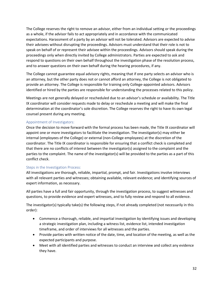The College reserves the right to remove an advisor, either from an individual setting or the proceedings as a whole, if the advisor fails to act appropriately and in accordance with the communicated expectations. Harassment of a party by an advisor will not be tolerated. Advisors are expected to advise their advisees without disrupting the proceedings. Advisors must understand that their role is not to speak on behalf of or represent their advisee within the proceedings. Advisors should speak during the proceedings only when directly invited by College administrators. Parties are expected to ask and respond to questions on their own behalf throughout the investigation phase of the resolution process, and to answer questions on their own behalf during the hearing procedures, if any.

The College cannot guarantee equal advisory rights, meaning that if one party selects an advisor who is an attorney, but the other party does not or cannot afford an attorney, the College is not obligated to provide an attorney. The College is responsible for training only College-appointed advisors. Advisors identified or hired by the parties are responsible for understanding the processes related to this policy.

Meetings are not generally delayed or rescheduled due to an advisor's schedule or availability. The Title IX coordinator will consider requests made to delay or reschedule a meeting and will make the final determination at the coordinator's sole discretion. The College reserves the right to have its own legal counsel present during any meeting.

#### Appointment of Investigators:

Once the decision to move forward with the formal process has been made, the Title IX coordinator will appoint one or more investigators to facilitate the investigation. The investigator(s) may either be internal (employees of the College) or external (non-College employees) at the discretion of the coordinator. The Title IX coordinator is responsible for ensuring that a conflict check is completed and that there are no conflicts of interest between the investigator(s) assigned to the complaint and the parties to the complaint. The name of the investigator(s) will be provided to the parties as a part of this conflict check.

### Steps in the Investigation Process:

All investigations are thorough, reliable, impartial, prompt, and fair. Investigations involve interviews with all relevant parties and witnesses; obtaining available, relevant evidence; and identifying sources of expert information, as necessary.

All parties have a full and fair opportunity, through the investigation process, to suggest witnesses and questions, to provide evidence and expert witnesses, and to fully review and respond to all evidence.

The investigator(s) typically take(s) the following steps, if not already completed (not necessarily in this order):

- Commence a thorough, reliable, and impartial investigation by identifying issues and developing a strategic investigation plan, including a witness list, evidence list, intended investigation timeframe, and order of interviews for all witnesses and the parties.
- Provide parties with written notice of the date, time, and location of the meeting, as well as the expected participants and purpose.
- Meet with all identified parties and witnesses to conduct an interview and collect any evidence they have.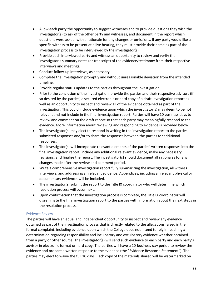- Allow each party the opportunity to suggest witnesses and to provide questions they wish the investigator(s) to ask of the other party and witnesses, and document in the report which questions were asked, with a rationale for any changes or omissions. If any party would like a specific witness to be present at a live hearing, they must provide their name as part of the investigation process to be interviewed by the investigator(s).
- Provide each interviewed party and witness an opportunity to review and verify the investigator's summary notes (or transcript) of the evidence/testimony from their respective interviews and meetings.
- Conduct follow-up interviews, as necessary.
- Complete the investigation promptly and without unreasonable deviation from the intended timeline.
- Provide regular status updates to the parties throughout the investigation.
- Prior to the conclusion of the investigation, provide the parties and their respective advisors (if so desired by the parties) a secured electronic or hard copy of a draft investigation report as well as an opportunity to inspect and review all of the evidence obtained as part of the investigation. This could include evidence upon which the investigator(s) may deem to be not relevant and not include in the final investigation report. Parties will have 10 business days to review and comment on the draft report so that each party may meaningfully respond to the evidence. More information about reviewing and responding to evidence is provided below.
- The investigator(s) may elect to respond in writing in the investigation report to the parties' submitted responses and/or to share the responses between the parties for additional responses.
- The investigator(s) will incorporate relevant elements of the parties' written responses into the final investigation report, include any additional relevant evidence, make any necessary revisions, and finalize the report. The investigator(s) should document all rationales for any changes made after the review and comment period.
- Write a comprehensive investigation report fully summarizing the investigation, all witness interviews, and addressing all relevant evidence. Appendices, including all relevant physical or documentary evidence, will be included.
- The investigator(s) submit the report to the Title IX coordinator who will determine which resolution process will occur next.
- Upon confirmation that the investigation process is complete, the Title IX coordinator will disseminate the final investigation report to the parties with information about the next steps in the resolution process.

### Evidence Review

The parties will have an equal and independent opportunity to inspect and review any evidence obtained as part of the investigation process that is directly related to the allegations raised in the formal complaint, including evidence upon which the College does not intend to rely in reaching a determination regarding responsibility and inculpatory and exculpatory evidence whether obtained from a party or other source. The investigator(s) will send such evidence to each party and each party's advisor in electronic format or hard copy. The parties will have a 10-business-day period to review the evidence and prepare a written response to the evidence (the "Evidence Response Statement"). The parties may elect to waive the full 10 days. Each copy of the materials shared will be watermarked on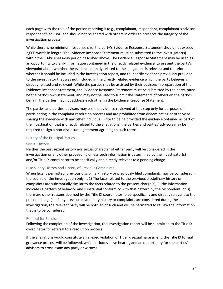each page with the role of the person receiving it (e.g., complainant, respondent, complainant's advisor, respondent's advisor) and should not be shared with others in order to preserve the integrity of the investigation process.

While there is no minimum response size, the party's Evidence Response Statement should not exceed 2,000 words in length. The Evidence Response Statement must be submitted to the investigator(s) within the 10-business-day period described above. The Evidence Response Statement may be used as an opportunity to clarify information contained in the directly related evidence, to present the party's viewpoint about whether the evidence directly related to the allegations is relevant and therefore whether it should be included in the investigation report, and to identify evidence previously provided to the investigator that was not included in the directly related evidence which the party believes is directly related and relevant. While the parties may be assisted by their advisors in preparation of the Evidence Response Statement, the Evidence Response Statement must be submitted by the party, must be the party's own statement, and may not be used to submit the statements of others on the party's behalf. The parties may not address each other in the Evidence Response Statement.

The parties and parties' advisors may use the evidence reviewed at this step only for purposes of participating in the complaint resolution process and are prohibited from disseminating or otherwise sharing the evidence with any other individual. Prior to being provided the evidence obtained as part of the investigation that is directly related to the allegations, the parties and parties' advisors may be required to sign a non-disclosure agreement agreeing to such terms.

#### History of the Principal Parties

#### Sexual History

Neither the past sexual history nor sexual character of either party will be considered in the investigation or any other proceeding unless such information is determined by the investigator(s) and/or Title IX coordinator to be specifically and directly relevant to a pending charge.

#### Disciplinary History and History of Previous Complaints

When legally permitted, previous disciplinary history or previously filed complaints may be considered in the course of the investigation only if: 1) The facts related to the previous disciplinary history or complaints are substantially similar to the facts related to the present charge(s); 2) the information indicates a pattern of behavior and substantial conformity with that pattern by the respondent; or 3) there are other reasons deemed by the Title IX coordinator to be specifically and directly relevant to the present charge(s). If any previous disciplinary history or complaints are considered during the investigation, the relevant party will be notified of such and will be permitted to review the information that is to be considered.

#### Referral for Resolution

Following the completion of the investigation, the investigation report will be submitted to the Title IX coordinator for referral to a resolution process.

If the allegations would constitute an alleged violation of Title IX sexual harassment, the Title IX formal grievance process will be followed, which includes a live hearing and an opportunity for the parties' advisors to cross-exam any party or witness.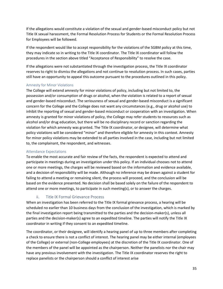If the allegations would constitute a violation of the sexual and gender-based misconduct policy but not Title IX sexual harassment, the Formal Resolution Process for Students or the Formal Resolution Process for Employees will be followed.

If the respondent would like to accept responsibility for the violations of the SGBM policy at this time, they may indicate so in writing to the Title IX coordinator. The Title IX coordinator will follow the procedures in the section above titled "Acceptance of Responsibility" to resolve the case.

If the allegations were not substantiated through the investigation process, the Title IX coordinator reserves to right to dismiss the allegations and not continue to resolution process. In such cases, parties still have an opportunity to appeal this outcome pursuant to the procedures outlined in this policy.

#### Amnesty for Minor Violations

The College will extend amnesty for minor violations of policy, including but not limited to, the possession and/or consumption of drugs or alcohol, when the violation is related to a report of sexual and gender-based misconduct. The seriousness of sexual and gender-based misconduct is a significant concern for the College and the College does not want any circumstances (e.g., drug or alcohol use) to inhibit the reporting of sexual and gender-based misconduct or cooperation with an investigation. When amnesty is granted for minor violations of policy, the College may refer students to resources such as alcohol and/or drug education, but there will be no disciplinary record or sanction regarding the violation for which amnesty was granted. The Title IX coordinator, or designee, will determine what policy violations will be considered "minor" and therefore eligible for amnesty in this context. Amnesty for minor policy violations may be extended to all parties involved in the case, including but not limited to, the complainant, the respondent, and witnesses.

#### Attendance Expectations

To enable the most accurate and fair review of the facts, the respondent is expected to attend and participate in meetings during an investigation under this policy. If an individual chooses not to attend one or more meetings, the charges will be reviewed based on the information and evidence available, and a decision of responsibility will be made. Although no inference may be drawn against a student for failing to attend a meeting or remaining silent, the process will proceed, and the conclusion will be based on the evidence presented. No decision shall be based solely on the failure of the respondent to attend one or more meetings, to participate in such meeting(s), or to answer the charges.

### ii. Title IX Formal Grievance Process

<span id="page-34-0"></span>When an investigation has been referred to the Title IX formal grievance process, a hearing will be scheduled no earlier than 10 business days from the conclusion of the investigation, which is marked by the final investigation report being transmitted to the parties and the decision-maker(s), unless all parties and the decision-maker(s) agree to an expedited timeline. The parties will notify the Title IX coordinator in writing if they consent to an expedited timeline.

The coordinator, or their designee, will identify a hearing panel of up to three members after completing a check to ensure there is not a conflict of interest. The hearing panel may be either internal (employees of the College) or external (non-College employees) at the discretion of the Title IX coordinator. One of the members of the panel will be appointed as the chairperson. Neither the panelists nor the chair may have any previous involvement with the investigation. The Title IX coordinator reserves the right to replace panelists or the chairperson should a conflict of interest arise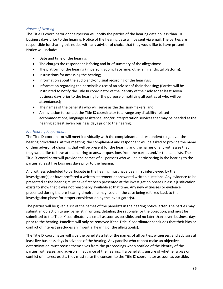#### *Notice of Hearing:*

The Title IX coordinator or chairperson will notify the parties of the hearing date no less than 10 business days prior to the hearing. Notice of the hearing date will be sent via email. The parties are responsible for sharing this notice with any advisor of choice that they would like to have present. Notice will include:

- Date and time of the hearing;
- The charges the respondent is facing and brief summary of the allegations;
- The platform of the hearing (in person, Zoom, FaceTime, other similar digital platform);
- Instructions for accessing the hearing;
- Information about the audio and/or visual recording of the hearings;
- Information regarding the permissible use of an advisor of their choosing; (Parties will be instructed to notify the Title IX coordinator of the identity of their advisor at least seven business days prior to the hearing for the purpose of notifying all parties of who will be in attendance.);
- The names of the panelists who will serve as the decision-makers; and
- An invitation to contact the Title IX coordinator to arrange any disability-related accommodations, language assistance, and/or interpretation services that may be needed at the hearing at least seven business days prior to the hearing.

#### *Pre-Hearing Preparation:*

The Title IX coordinator will meet individually with the complainant and respondent to go over the hearing procedures. At this meeting, the complainant and respondent will be asked to provide the name of their advisor of choosing that will be present for the hearing and the names of any witnesses that they would like to have at the hearing to answer questions from the parties and/or the panelists. The Title IX coordinator will provide the names of all persons who will be participating in the hearing to the parties at least five business days prior to the hearing.

Any witness scheduled to participate in the hearing must have been first interviewed by the investigator(s) or have proffered a written statement or answered written questions. Any evidence to be presented at the hearing must have first been presented at the investigation phase unless a justification exists to show that it was not reasonably available at that time. Any new witnesses or evidence presented during the pre-hearing timeframe may result in the case being referred back to the investigation phase for proper consideration by the investigator(s).

The parties will be given a list of the names of the panelists in the hearing notice letter. The parties may submit an objection to any panelist in writing, detailing the rationale for the objection, and must be submitted to the Title IX coordinator via email as soon as possible, and no later than seven business days prior to the hearing. Panelists will only be removed if the Title IX coordinator concludes that their bias or conflict of interest precludes an impartial hearing of the allegation(s).

The Title IX coordinator will give the panelists a list of the names of all parties, witnesses, and advisors at least five business days in advance of the hearing. Any panelist who cannot make an objective determination must recuse themselves from the proceedings when notified of the identity of the parties, witnesses, and advisors in advance of the hearing. If a panelist is unsure of whether a bias or conflict of interest exists, they must raise the concern to the Title IX coordinator as soon as possible.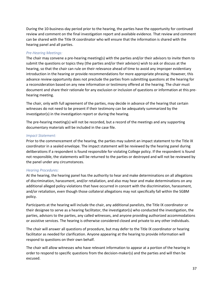During the 10-business-day period prior to the hearing, the parties have the opportunity for continued review and comment on the final investigation report and available evidence. That review and comment can be shared with the Title IX coordinator who will ensure that the information is shared with the hearing panel and all parties.

#### *Pre-Hearing Meetings:*

The chair may convene a pre-hearing meeting(s) with the parties and/or their advisors to invite them to submit the questions or topics they (the parties and/or their advisors) wish to ask or discuss at the hearing, so that the chair can rule on their relevance ahead of time to avoid any improper evidentiary introduction in the hearing or provide recommendations for more appropriate phrasing. However, this advance review opportunity does not preclude the parties from submitting questions at the hearing for a reconsideration based on any new information or testimony offered at the hearing. The chair must document and share their rationale for any exclusion or inclusion of questions or information at this prehearing meeting.

The chair, only with full agreement of the parties, may decide in advance of the hearing that certain witnesses do not need to be present if their testimony can be adequately summarized by the investigator(s) in the investigation report or during the hearing.

The pre-hearing meeting(s) will not be recorded, but a record of the meetings and any supporting documentary materials will be included in the case file.

#### *Impact Statement:*

Prior to the commencement of the hearing, the parties may submit an impact statement to the Title IX coordinator in a sealed envelope. The impact statement will be reviewed by the hearing panel during deliberations if a respondent is found responsible for violating College policy. If the respondent is found not responsible, the statements will be returned to the parties or destroyed and will not be reviewed by the panel under any circumstances.

#### *Hearing Procedures:*

At the hearing, the hearing panel has the authority to hear and make determinations on all allegations of discrimination, harassment, and/or retaliation, and also may hear and make determinations on any additional alleged policy violations that have occurred in concert with the discrimination, harassment, and/or retaliation, even though those collateral allegations may not specifically fall within the SGBM policy.

Participants at the hearing will include the chair, any additional panelists, the Title IX coordinator or their designee to serve as a hearing facilitator, the investigator(s) who conducted the investigation, the parties, advisors to the parties, any called witnesses, and anyone providing authorized accommodations or assistive services. The hearing is otherwise considered closed and private to any other individuals.

The chair will answer all questions of procedure, but may defer to the Title IX coordinator or hearing facilitator as needed for clarification. Anyone appearing at the hearing to provide information will respond to questions on their own behalf.

The chair will allow witnesses who have relevant information to appear at a portion of the hearing in order to respond to specific questions from the decision-maker(s) and the parties and will then be excused.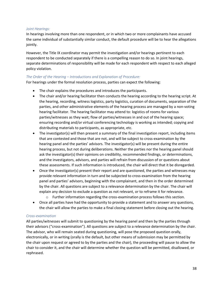#### *Joint Hearings:*

In hearings involving more than one respondent, or in which two or more complainants have accused the same individual of substantially similar conduct, the default procedure will be to hear the allegations jointly.

However, the Title IX coordinator may permit the investigation and/or hearings pertinent to each respondent to be conducted separately if there is a compelling reason to do so. In joint hearings, separate determinations of responsibility will be made for each respondent with respect to each alleged policy violation.

### *The Order of the Hearing – Introductions and Explanation of Procedure:*

For hearings under the formal resolution process, parties can expect the following:

- The chair explains the procedures and introduces the participants.
- The chair and/or hearing facilitator then conducts the hearing according to the hearing script. At the hearing, recording, witness logistics, party logistics, curation of documents, separation of the parties, and other administrative elements of the hearing process are managed by a non-voting hearing facilitator. The hearing facilitator may attend to: logistics of rooms for various parties/witnesses as they wait; flow of parties/witnesses in and out of the hearing space; ensuring recording and/or virtual conferencing technology is working as intended; copying and distributing materials to participants, as appropriate, etc.
- The investigator(s) will then present a summary of the final investigation report, including items that are contested and those that are not, and will be subject to cross-examination by the hearing panel and the parties' advisors. The investigator(s) will be present during the entire hearing process, but not during deliberations. Neither the parties nor the hearing panel should ask the investigator(s) their opinions on credibility, recommended findings, or determinations, and the investigators, advisors, and parties will refrain from discussion of or questions about these assessments. If such information is introduced, the chair will direct that it be disregarded.
- Once the investigator(s) present their report and are questioned, the parties and witnesses may provide relevant information in turn and be subjected to cross-examination from the hearing panel and parties' advisors, beginning with the complainant, and then in the order determined by the chair. All questions are subject to a relevance determination by the chair. The chair will explain any decision to exclude a question as not relevant, or to reframe it for relevance.
	- $\circ$  Further information regarding the cross-examination process follows this section.
- Once all parties have had the opportunity to provide a statement and to answer any questions, the chair will allow the parties to make a final closing statement before closing out the hearing.

### *Cross-examination*

All parties/witnesses will submit to questioning by the hearing panel and then by the parties through their advisors ("cross-examination"). All questions are subject to a relevance determination by the chair. The advisor, who will remain seated during questioning, will pose the proposed question orally, electronically, or in writing (orally is the default, but other means of submission may be permitted by the chair upon request or agreed to by the parties and the chair), the proceeding will pause to allow the chair to consider it, and the chair will determine whether the question will be permitted, disallowed, or rephrased.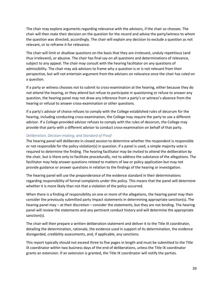The chair may explore arguments regarding relevance with the advisors, if the chair so chooses. The chair will then state their decision on the question for the record and advise the party/witness to whom the question was directed, accordingly. The chair will explain any decision to exclude a question as not relevant, or to reframe it for relevance.

The chair will limit or disallow questions on the basis that they are irrelevant, unduly repetitious (and thus irrelevant), or abusive. The chair has final say on all questions and determinations of relevance, subject to any appeal. The chair may consult with the hearing facilitator on any questions of admissibility. The chair may ask advisors to frame why a question is or is not relevant from their perspective, but will not entertain argument from the advisors on relevance once the chair has ruled on a question.

If a party or witness chooses not to submit to cross-examination at the hearing, either because they do not attend the hearing, or they attend but refuse to participate in questioning or refuse to answer any question, the hearing panel may not draw any inference from a party's or witness's absence from the hearing or refusal to answer cross-examination or other questions.

If a party's advisor of choice refuses to comply with the College established rules of decorum for the hearing, including conducting cross-examination, the College may require the party to use a different advisor. If a College-provided advisor refuses to comply with the rules of decorum, the College may provide that party with a different advisor to conduct cross-examination on behalf of that party.

#### *Deliberation, Decision-making, and Standard of Proof:*

The hearing panel will deliberate in closed session to determine whether the respondent is responsible or not responsible for the policy violation(s) in question. If a panel is used, a simple majority vote is required to determine the finding. The hearing facilitator may be invited to attend the deliberation by the chair, but is there only to facilitate procedurally, not to address the substance of the allegations. The facilitator may help answer questions related to matters of law or policy application but may not provide guidance or answer questions in relation to the findings of the hearing or investigation.

The hearing panel will use the preponderance of the evidence standard in their determinations regarding responsibility of formal complaints under this policy. This means that the panel will determine whether it is more likely than not that a violation of the policy occurred.

When there is a finding of responsibility on one or more of the allegations, the hearing panel may then consider the previously submitted party impact statements in determining appropriate sanction(s). The hearing panel may – at their discretion – consider the statements, but they are not binding. The hearing panel will review the statements and any pertinent conduct history and will determine the appropriate sanction(s).

The chair will then prepare a written deliberation statement and deliver it to the Title IX coordinator, detailing the determination, rationale, the evidence used in support of its determination, the evidence disregarded, credibility assessments, and, if applicable, any sanctions.

This report typically should not exceed three to five pages in length and must be submitted to the Title IX coordinator within two business days of the end of deliberations, unless the Title IX coordinator grants an extension. If an extension is granted, the Title IX coordinator will notify the parties.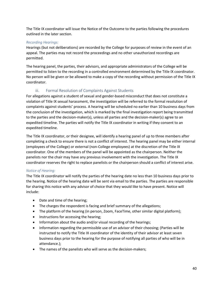The Title IX coordinator will issue the Notice of the Outcome to the parties following the procedures outlined in the later section.

#### *Recording Hearings:*

Hearings (but not deliberations) are recorded by the College for purposes of review in the event of an appeal. The parties may not record the proceedings and no other unauthorized recordings are permitted.

The hearing panel, the parties, their advisors, and appropriate administrators of the College will be permitted to listen to the recording in a controlled environment determined by the Title IX coordinator. No person will be given or be allowed to make a copy of the recording without permission of the Title IX coordinator.

### iii. Formal Resolution of Complaints Against Students

<span id="page-39-0"></span>For allegations against a student of sexual and gender-based misconduct that does not constitute a violation of Title IX sexual harassment, the investigation will be referred to the formal resolution of complaints against students' process. A hearing will be scheduled no earlier than 10 business days from the conclusion of the investigation, which is marked by the final investigation report being transmitted to the parties and the decision-maker(s), unless all parties and the decision-maker(s) agree to an expedited timeline. The parties will notify the Title IX coordinator in writing if they consent to an expedited timeline.

The Title IX coordinator, or their designee, will identify a hearing panel of up to three members after completing a check to ensure there is not a conflict of interest. The hearing panel may be either internal (employees of the College) or external (non-College employees) at the discretion of the Title IX coordinator. One of the members of the panel will be appointed as the chairperson. Neither the panelists nor the chair may have any previous involvement with the investigation. The Title IX coordinator reserves the right to replace panelists or the chairperson should a conflict of interest arise.

### *Notice of Hearing:*

The Title IX coordinator will notify the parties of the hearing date no less than 10 business days prior to the hearing. Notice of the hearing date will be sent via email to the parties. The parties are responsible for sharing this notice with any advisor of choice that they would like to have present. Notice will include:

- Date and time of the hearing;
- The charges the respondent is facing and brief summary of the allegations;
- The platform of the hearing (in person, Zoom, FaceTime, other similar digital platform);
- Instructions for accessing the hearing;
- Information about the audio and/or visual recording of the hearings;
- Information regarding the permissible use of an advisor of their choosing; (Parties will be instructed to notify the Title IX coordinator of the identity of their advisor at least seven business days prior to the hearing for the purpose of notifying all parties of who will be in attendance.);
- The names of the panelists who will serve as the decision-makers;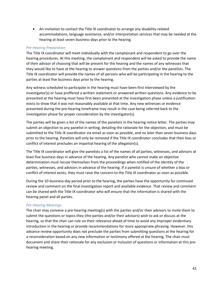• An invitation to contact the Title IX coordinator to arrange any disability-related accommodations, language assistance, and/or interpretation services that may be needed at the hearing at least seven business days prior to the hearing.

#### *Pre-Hearing Preparation:*

The Title IX coordinator will meet individually with the complainant and respondent to go over the hearing procedures. At this meeting, the complainant and respondent will be asked to provide the name of their advisor of choosing that will be present for the hearing and the names of any witnesses that they would like to have at the hearing to answer questions from the parties and/or the panelists. The Title IX coordinator will provide the names of all persons who will be participating in the hearing to the parties at least five business days prior to the hearing.

Any witness scheduled to participate in the hearing must have been first interviewed by the investigator(s) or have proffered a written statement or answered written questions. Any evidence to be presented at the hearing must have first been presented at the investigation phase unless a justification exists to show that it was not reasonably available at that time. Any new witnesses or evidence presented during the pre-hearing timeframe may result in the case being referred back to the investigation phase for proper consideration by the investigator(s).

The parties will be given a list of the names of the panelists in the hearing notice letter. The parties may submit an objection to any panelist in writing, detailing the rationale for the objection, and must be submitted to the Title IX coordinator via email as soon as possible, and no later than seven business days prior to the hearing. Panelists will only be removed if the Title IX coordinator concludes that their bias or conflict of interest precludes an impartial hearing of the allegation(s).

The Title IX coordinator will give the panelists a list of the names of all parties, witnesses, and advisors at least five business days in advance of the hearing. Any panelist who cannot make an objective determination must recuse themselves from the proceedings when notified of the identity of the parties, witnesses, and advisors in advance of the hearing. If a panelist is unsure of whether a bias or conflict of interest exists, they must raise the concern to the Title IX coordinator as soon as possible.

During the 10-business-day period prior to the hearing, the parties have the opportunity for continued review and comment on the final investigation report and available evidence. That review and comment can be shared with the Title IX coordinator who will ensure that the information is shared with the hearing panel and all parties.

### *Pre-Hearing Meetings:*

The chair may convene a pre-hearing meeting(s) with the parties and/or their advisors to invite them to submit the questions or topics they (the parties and/or their advisors) wish to ask or discuss at the hearing, so that the chair can rule on their relevance ahead of time to avoid any improper evidentiary introduction in the hearing or provide recommendations for more appropriate phrasing. However, this advance review opportunity does not preclude the parties from submitting questions at the hearing for a reconsideration based on any new information or testimony offered at the hearing. The chair must document and share their rationale for any exclusion or inclusion of questions or information at this prehearing meeting.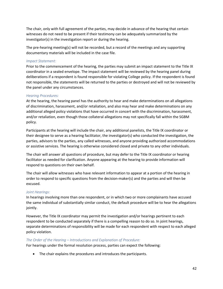The chair, only with full agreement of the parties, may decide in advance of the hearing that certain witnesses do not need to be present if their testimony can be adequately summarized by the investigator(s) in the investigation report or during the hearing.

The pre-hearing meeting(s) will not be recorded, but a record of the meetings and any supporting documentary materials will be included in the case file.

#### *Impact Statement:*

Prior to the commencement of the hearing, the parties may submit an impact statement to the Title IX coordinator in a sealed envelope. The impact statement will be reviewed by the hearing panel during deliberations if a respondent is found responsible for violating College policy. If the respondent is found not responsible, the statements will be returned to the parties or destroyed and will not be reviewed by the panel under any circumstances.

#### *Hearing Procedures:*

At the hearing, the hearing panel has the authority to hear and make determinations on all allegations of discrimination, harassment, and/or retaliation, and also may hear and make determinations on any additional alleged policy violations that have occurred in concert with the discrimination, harassment, and/or retaliation, even though those collateral allegations may not specifically fall within the SGBM policy.

Participants at the hearing will include the chair, any additional panelists, the Title IX coordinator or their designee to serve as a hearing facilitator, the investigator(s) who conducted the investigation, the parties, advisors to the parties, any called witnesses, and anyone providing authorized accommodations or assistive services. The hearing is otherwise considered closed and private to any other individuals.

The chair will answer all questions of procedure, but may defer to the Title IX coordinator or hearing facilitator as needed for clarification. Anyone appearing at the hearing to provide information will respond to questions on their own behalf.

The chair will allow witnesses who have relevant information to appear at a portion of the hearing in order to respond to specific questions from the decision-maker(s) and the parties and will then be excused.

#### *Joint Hearings:*

In hearings involving more than one respondent, or in which two or more complainants have accused the same individual of substantially similar conduct, the default procedure will be to hear the allegations jointly.

However, the Title IX coordinator may permit the investigation and/or hearings pertinent to each respondent to be conducted separately if there is a compelling reason to do so. In joint hearings, separate determinations of responsibility will be made for each respondent with respect to each alleged policy violation.

#### *The Order of the Hearing – Introductions and Explanation of Procedure:*

For hearings under the formal resolution process, parties can expect the following:

• The chair explains the procedures and introduces the participants.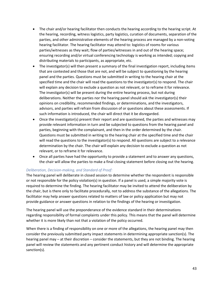- The chair and/or hearing facilitator then conducts the hearing according to the hearing script. At the hearing, recording, witness logistics, party logistics, curation of documents, separation of the parties, and other administrative elements of the hearing process are managed by a non-voting hearing facilitator. The hearing facilitator may attend to: logistics of rooms for various parties/witnesses as they wait; flow of parties/witnesses in and out of the hearing space; ensuring recording and/or virtual conferencing technology is working as intended; copying and distributing materials to participants, as appropriate, etc.
- The investigator(s) will then present a summary of the final investigation report, including items that are contested and those that are not, and will be subject to questioning by the hearing panel and the parties. Questions must be submitted in writing to the hearing chair at the specified time and the chair will read the questions to the investigator(s) to respond. The chair will explain any decision to exclude a question as not relevant, or to reframe it for relevance. The investigator(s) will be present during the entire hearing process, but not during deliberations. Neither the parties nor the hearing panel should ask the investigator(s) their opinions on credibility, recommended findings, or determinations, and the investigators, advisors, and parties will refrain from discussion of or questions about these assessments. If such information is introduced, the chair will direct that it be disregarded.
- Once the investigator(s) present their report and are questioned, the parties and witnesses may provide relevant information in turn and be subjected to questions from the hearing panel and parties, beginning with the complainant, and then in the order determined by the chair. Questions must be submitted in writing to the hearing chair at the specified time and the chair will read the questions to the investigator(s) to respond. All questions are subject to a relevance determination by the chair. The chair will explain any decision to exclude a question as not relevant, or to reframe it for relevance.
- Once all parties have had the opportunity to provide a statement and to answer any questions, the chair will allow the parties to make a final closing statement before closing out the hearing.

#### *Deliberation, Decision-making, and Standard of Proof:*

The hearing panel will deliberate in closed session to determine whether the respondent is responsible or not responsible for the policy violation(s) in question. If a panel is used, a simple majority vote is required to determine the finding. The hearing facilitator may be invited to attend the deliberation by the chair, but is there only to facilitate procedurally, not to address the substance of the allegations. The facilitator may help answer questions related to matters of law or policy application but may not provide guidance or answer questions in relation to the findings of the hearing or investigation.

The hearing panel will use the preponderance of the evidence standard in their determinations regarding responsibility of formal complaints under this policy. This means that the panel will determine whether it is more likely than not that a violation of the policy occurred.

When there is a finding of responsibility on one or more of the allegations, the hearing panel may then consider the previously submitted party impact statements in determining appropriate sanction(s). The hearing panel may – at their discretion – consider the statements, but they are not binding. The hearing panel will review the statements and any pertinent conduct history and will determine the appropriate sanction(s).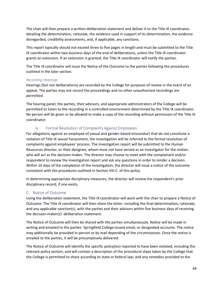The chair will then prepare a written deliberation statement and deliver it to the Title IX coordinator, detailing the determination, rationale, the evidence used in support of its determination, the evidence disregarded, credibility assessments, and, if applicable, any sanctions.

This report typically should not exceed three to five pages in length and must be submitted to the Title IX coordinator within two business days of the end of deliberations, unless the Title IX coordinator grants an extension. If an extension is granted, the Title IX coordinator will notify the parties.

The Title IX coordinator will issue the Notice of the Outcome to the parties following the procedures outlined in the later section.

#### *Recording Hearings:*

Hearings (but not deliberations) are recorded by the College for purposes of review in the event of an appeal. The parties may not record the proceedings and no other unauthorized recordings are permitted.

The hearing panel, the parties, their advisors, and appropriate administrators of the College will be permitted to listen to the recording in a controlled environment determined by the Title IX coordinator. No person will be given or be allowed to make a copy of the recording without permission of the Title IX coordinator.

### iv. Formal Resolution of Complaints Against Employees

<span id="page-43-0"></span>For allegations against an employee of sexual and gender-based misconduct that do not constitute a violation of Title IX sexual harassment, the investigation will be referred to the formal resolution of complaints against employees' process. The investigation report will be submitted to the Human Resources director, or their designee, whom must not have served as an investigator for the matter, who will act as the decision-maker. The director may choose to meet with the complainant and/or respondent to review the investigation report and ask any questions in order to render a decision. Within 10 days of the completion of the investigation, the director will issue a notice of the outcome consistent with the procedures outlined in Section VIII.C. of this policy.

In determining appropriate disciplinary measures, the director will review the respondent's prior disciplinary record, if one exists.

### <span id="page-43-1"></span>C. Notice of Outcome

Using the deliberation statement, the Title IX coordinator will work with the chair to prepare a Notice of Outcome. The Title IX coordinator will then share the letter, including the final determination, rationale, and any applicable sanction(s), with the parties and their advisors within five business days of receiving the decision-maker(s)' deliberation statement.

The Notice of Outcome will then be shared with the parties simultaneously. Notice will be made in writing and emailed to the parties' Springfield College-issued email, or designated accounts. The notice may additionally be provided in-person or by mail depending of the circumstances. Once the notice is emailed to the parties, it will be presumptively delivered.

The Notice of Outcome will identify the specific policy(ies) reported to have been violated, including the relevant policy section, and will contain a description of the procedural steps taken by the College that the College is permitted to share according to state or federal law; and any remedies provided to the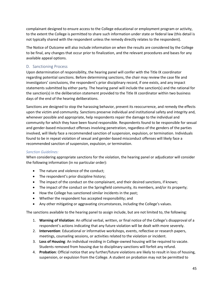complainant designed to ensure access to the College educational or employment program or activity, to the extent the College is permitted to share such information under state or federal law (this detail is not typically shared with the respondent unless the remedy directly relates to the respondent).

The Notice of Outcome will also include information on when the results are considered by the College to be final, any changes that occur prior to finalization, and the relevant procedures and bases for any available appeal options.

### <span id="page-44-0"></span>D. Sanctioning Process

Upon determination of responsibility, the hearing panel will confer with the Title IX coordinator regarding potential sanctions. Before determining sanctions, the chair may review the case file and investigators' conclusions, the respondent's prior disciplinary record, if one exists, and any impact statements submitted by either party. The hearing panel will include the sanction(s) and the rational for the sanction(s) in the deliberation statement provided to the Title IX coordinator within two business days of the end of the hearing deliberations.

Sanctions are designed to stop the harassing behavior, prevent its reoccurrence, and remedy the effects upon the victim and community. Sanctions preserve individual and institutional safety and integrity and, whenever possible and appropriate, help respondents repair the damage to the individual and community for which they have been found responsible. Respondents found to be responsible for sexual and gender-based misconduct offenses involving penetration, regardless of the genders of the parties involved, will likely face a recommended sanction of suspension, expulsion, or termination. Individuals found to be in repeat violation of sexual and gender-based misconduct offenses will likely face a recommended sanction of suspension, expulsion, or termination.

### *Sanction Guidelines:*

When considering appropriate sanctions for the violation, the hearing panel or adjudicator will consider the following information (in no particular order):

- The nature and violence of the conduct;
- The respondent's prior discipline history;
- The impact of the conduct on the complainant, and their desired sanctions, if known;
- The impact of the conduct on the Springfield community, its members, and/or its property;
- How the College has sanctioned similar incidents in the past;
- Whether the respondent has accepted responsibility; and
- Any other mitigating or aggravating circumstances, including the College's values.

The sanctions available to the hearing panel to assign include, but are not limited to, the following:

- 1. **Warning of Violation**: An official verbal, written, or final notice of the College's disapproval of a respondent's actions indicating that any future violation will be dealt with more severely.
- 2. **Intervention**: Educational or informative workshops, events, reflective or research papers, meetings, counseling sessions, or activities related to the violation or incident.
- 3. **Loss of Housing**: An individual residing in College-owned housing will be required to vacate. Students removed from housing due to disciplinary sanctions will forfeit any refund.
- 4. **Probation**: Official notice that any further/future violations are likely to result in loss of housing, suspension, or expulsion from the College. A student on probation may not be permitted to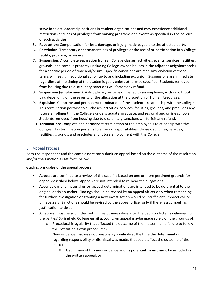serve in select leadership positions in student organizations and may experience additional restrictions and loss of privileges from varying programs and events as specified in the policies of such activities.

- 5. **Restitution**: Compensation for loss, damage, or injury made payable to the affected party.
- 6. **Restriction**: Temporary or permanent loss of privileges or the use of or participation in a College facility, program, or service.
- 7. **Suspension**: A complete separation from all College classes, activities, events, services, facilities, grounds, and campus property (including College-owned houses in the adjacent neighborhoods) for a specific period of time and/or until specific conditions are met. Any violation of these terms will result in additional action up to and including expulsion. Suspensions are immediate regardless of the timing of the academic year, unless otherwise specified. Students removed from housing due to disciplinary sanctions will forfeit any refund.
- 8. **Suspension (employment)**: A disciplinary suspension issued to an employee, with or without pay, depending on the severity of the allegation at the discretion of Human Resources.
- 9. **Expulsion**: Complete and permanent termination of the student's relationship with the College. This termination pertains to all classes, activities, services, facilities, grounds, and precludes any future enrollment in the College's undergraduate, graduate, and regional and online schools. Students removed from housing due to disciplinary sanctions will forfeit any refund.
- 10. **Termination**: Complete and permanent termination of the employee's relationship with the College. This termination pertains to all work responsibilities, classes, activities, services, facilities, grounds, and precludes any future employment with the College.

### <span id="page-45-0"></span>E. Appeal Process

Both the respondent and the complainant can submit an appeal based on the outcome of the resolution and/or the sanction as set forth below.

Guiding principles of the appeal process:

- Appeals are confined to a review of the case file based on one or more pertinent grounds for appeal described below. Appeals are not intended to re-hear the allegations.
- Absent clear and material error, appeal determinations are intended to be deferential to the original decision-maker. Findings should be revised by an appeal officer only when remanding for further investigation or granting a new investigation would be insufficient, impractical, or unnecessary. Sanctions should be revised by the appeal officer only if there is a compelling justification to do so.
- An appeal must be submitted within five business days after the decision letter is delivered to the parties' Springfield College email account. An appeal maybe made solely on the grounds of:
	- $\circ$  Procedural irregularity that affected the outcome of the matter (i.e., a failure to follow the institution's own procedures);
	- o New evidence that was not reasonably available at the time the determination regarding responsibility or dismissal was made, that could affect the outcome of the matter;
		- A summary of this new evidence and its potential impact must be included in the written appeal; or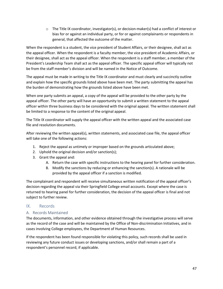$\circ$  The Title IX coordinator, investigator(s), or decision-maker(s) had a conflict of interest or bias for or against an individual party, or for or against complainants or respondents in general, that affected the outcome of the matter.

When the respondent is a student, the vice president of Student Affairs, or their designee, shall act as the appeal officer. When the respondent is a faculty member, the vice president of Academic Affairs, or their designee, shall act as the appeal officer. When the respondent is a staff member, a member of the President's Leadership Team shall act as the appeal officer. The specific appeal officer will typically not be from the staff member's division and will be named in the Notice of Outcome.

The appeal must be made in writing to the Title IX coordinator and must clearly and succinctly outline and explain how the specific grounds listed above have been met. The party submitting the appeal has the burden of demonstrating how the grounds listed above have been met.

When one party submits an appeal, a copy of the appeal will be provided to the other party by the appeal officer. The other party will have an opportunity to submit a written statement to the appeal officer within three business days to be considered with the original appeal. The written statement shall be limited to a response to the content of the original appeal.

The Title IX coordinator will supply the appeal officer with the written appeal and the associated case file and resolution documents.

After reviewing the written appeal(s), written statements, and associated case file, the appeal officer will take one of the following actions:

- 1. Reject the appeal as untimely or improper based on the grounds articulated above;
- 2. Uphold the original decision and/or sanction(s);
- 3. Grant the appeal and:
	- A. Return the case with specific instructions to the hearing panel for further consideration.
	- B. Modify the sanctions by reducing or enhancing the sanction(s). A rationale will be provided by the appeal officer if a sanction is modified.

The complainant and respondent will receive simultaneous written notification of the appeal officer's decision regarding the appeal via their Springfield College email accounts. Except where the case is returned to hearing panel for further consideration, the decision of the appeal officer is final and not subject to further review.

### <span id="page-46-0"></span>IX. Records

### <span id="page-46-1"></span>A. Records Maintained

The documents, information, and other evidence obtained through the investigative process will serve as the record of the case and will be maintained by the Office of Non-discrimination Initiatives, and in cases involving College employees, the Department of Human Resources.

If the respondent has been found responsible for violating this policy, such records shall be used in reviewing any future conduct issues or developing sanctions, and/or shall remain a part of a respondent's personnel record, if applicable.